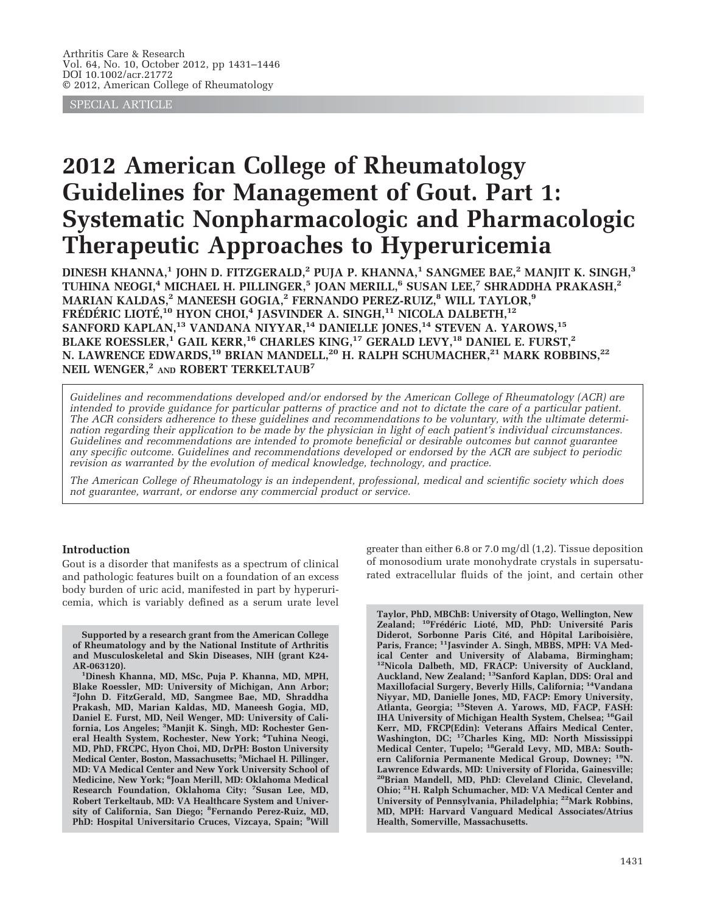SPECIAL ARTICLE

# **2012 American College of Rheumatology Guidelines for Management of Gout. Part 1: Systematic Nonpharmacologic and Pharmacologic Therapeutic Approaches to Hyperuricemia**

**DINESH KHANNA,1 JOHN D. FITZGERALD,2 PUJA P. KHANNA,1 SANGMEE BAE,2 MANJIT K. SINGH,3 TUHINA NEOGI,4 MICHAEL H. PILLINGER,5 JOAN MERILL,6 SUSAN LEE,7 SHRADDHA PRAKASH,2 MARIAN KALDAS,2 MANEESH GOGIA,2 FERNANDO PEREZ-RUIZ,8 WILL TAYLOR,9 FRE´DE´RIC LIOTE´, <sup>10</sup> HYON CHOI,4 JASVINDER A. SINGH,11 NICOLA DALBETH,12 SANFORD KAPLAN,13 VANDANA NIYYAR,14 DANIELLE JONES,14 STEVEN A. YAROWS,15 BLAKE ROESSLER,1 GAIL KERR,16 CHARLES KING,17 GERALD LEVY,18 DANIEL E. FURST,2 N. LAWRENCE EDWARDS,19 BRIAN MANDELL,20 H. RALPH SCHUMACHER,21 MARK ROBBINS,22 NEIL WENGER,2 AND ROBERT TERKELTAUB7**

*Guidelines and recommendations developed and/or endorsed by the American College of Rheumatology (ACR) are intended to provide guidance for particular patterns of practice and not to dictate the care of a particular patient. The ACR considers adherence to these guidelines and recommendations to be voluntary, with the ultimate determination regarding their application to be made by the physician in light of each patient's individual circumstances. Guidelines and recommendations are intended to promote beneficial or desirable outcomes but cannot guarantee any specific outcome. Guidelines and recommendations developed or endorsed by the ACR are subject to periodic revision as warranted by the evolution of medical knowledge, technology, and practice.*

*The American College of Rheumatology is an independent, professional, medical and scientific society which does not guarantee, warrant, or endorse any commercial product or service.*

## **Introduction**

Gout is a disorder that manifests as a spectrum of clinical and pathologic features built on a foundation of an excess body burden of uric acid, manifested in part by hyperuricemia, which is variably defined as a serum urate level

**Supported by a research grant from the American College of Rheumatology and by the National Institute of Arthritis and Musculoskeletal and Skin Diseases, NIH (grant K24- AR-063120). <sup>1</sup>**

**Dinesh Khanna, MD, MSc, Puja P. Khanna, MD, MPH, Blake Roessler, MD: University of Michigan, Ann Arbor; 2 John D. FitzGerald, MD, Sangmee Bae, MD, Shraddha Prakash, MD, Marian Kaldas, MD, Maneesh Gogia, MD, Daniel E. Furst, MD, Neil Wenger, MD: University of California, Los Angeles; <sup>3</sup> Manjit K. Singh, MD: Rochester General Health System, Rochester, New York; <sup>4</sup> Tuhina Neogi, MD, PhD, FRCPC, Hyon Choi, MD, DrPH: Boston University Medical Center, Boston, Massachusetts; <sup>5</sup> Michael H. Pillinger, MD: VA Medical Center and New York University School of Medicine, New York; <sup>6</sup> Joan Merill, MD: Oklahoma Medical Research Foundation, Oklahoma City; <sup>7</sup> Susan Lee, MD, Robert Terkeltaub, MD: VA Healthcare System and University of California, San Diego; <sup>8</sup> Fernando Perez-Ruiz, MD, PhD: Hospital Universitario Cruces, Vizcaya, Spain; <sup>9</sup> Will**

greater than either 6.8 or 7.0 mg/dl (1,2). Tissue deposition of monosodium urate monohydrate crystals in supersaturated extracellular fluids of the joint, and certain other

**Taylor, PhD, MBChB: University of Otago, Wellington, New** Zealand; <sup>10</sup>Frédéric Lioté, MD, PhD: Université Paris Diderot, Sorbonne Paris Cité, and Hôpital Lariboisière, **Paris, France; 11Jasvinder A. Singh, MBBS, MPH: VA Medical Center and University of Alabama, Birmingham; 12Nicola Dalbeth, MD, FRACP: University of Auckland, Auckland, New Zealand; 13Sanford Kaplan, DDS: Oral and Maxillofacial Surgery, Beverly Hills, California; 14Vandana Niyyar, MD, Danielle Jones, MD, FACP: Emory University, Atlanta, Georgia; 15Steven A. Yarows, MD, FACP, FASH: IHA University of Michigan Health System, Chelsea; 16Gail Kerr, MD, FRCP(Edin): Veterans Affairs Medical Center, Washington, DC; 17Charles King, MD: North Mississippi Medical Center, Tupelo; 18Gerald Levy, MD, MBA: Southern California Permanente Medical Group, Downey; 19N. Lawrence Edwards, MD: University of Florida, Gainesville; 20Brian Mandell, MD, PhD: Cleveland Clinic, Cleveland, Ohio; 21H. Ralph Schumacher, MD: VA Medical Center and University of Pennsylvania, Philadelphia; 22Mark Robbins, MD, MPH: Harvard Vanguard Medical Associates/Atrius Health, Somerville, Massachusetts.**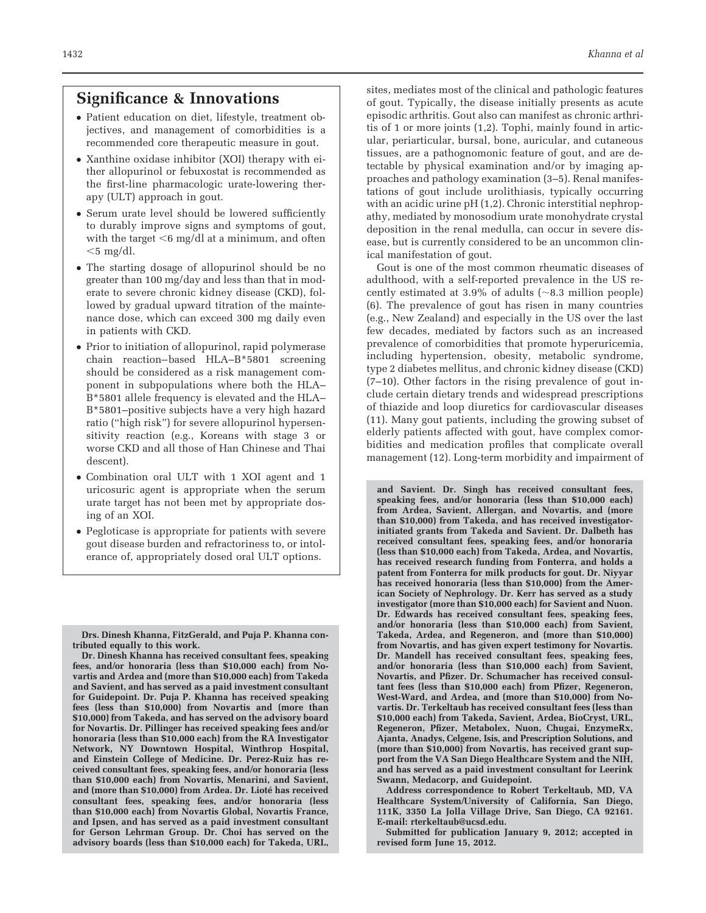# **Significance & Innovations**

- Patient education on diet, lifestyle, treatment objectives, and management of comorbidities is a recommended core therapeutic measure in gout.
- Xanthine oxidase inhibitor (XOI) therapy with either allopurinol or febuxostat is recommended as the first-line pharmacologic urate-lowering therapy (ULT) approach in gout.
- Serum urate level should be lowered sufficiently to durably improve signs and symptoms of gout, with the target  $<$ 6 mg/dl at a minimum, and often  $<$ 5 mg/dl.
- The starting dosage of allopurinol should be no greater than 100 mg/day and less than that in moderate to severe chronic kidney disease (CKD), followed by gradual upward titration of the maintenance dose, which can exceed 300 mg daily even in patients with CKD.
- Prior to initiation of allopurinol, rapid polymerase chain reaction– based HLA–B\*5801 screening should be considered as a risk management component in subpopulations where both the HLA– B\*5801 allele frequency is elevated and the HLA– B\*5801–positive subjects have a very high hazard ratio ("high risk") for severe allopurinol hypersensitivity reaction (e.g., Koreans with stage 3 or worse CKD and all those of Han Chinese and Thai descent).
- Combination oral ULT with 1 XOI agent and 1 uricosuric agent is appropriate when the serum urate target has not been met by appropriate dosing of an XOI.
- Pegloticase is appropriate for patients with severe gout disease burden and refractoriness to, or intolerance of, appropriately dosed oral ULT options.

**Drs. Dinesh Khanna, FitzGerald, and Puja P. Khanna contributed equally to this work.**

**Dr. Dinesh Khanna has received consultant fees, speaking fees, and/or honoraria (less than \$10,000 each) from Novartis and Ardea and (more than \$10,000 each) from Takeda and Savient, and has served as a paid investment consultant for Guidepoint. Dr. Puja P. Khanna has received speaking fees (less than \$10,000) from Novartis and (more than \$10,000) from Takeda, and has served on the advisory board for Novartis. Dr. Pillinger has received speaking fees and/or honoraria (less than \$10,000 each) from the RA Investigator Network, NY Downtown Hospital, Winthrop Hospital, and Einstein College of Medicine. Dr. Perez-Ruiz has received consultant fees, speaking fees, and/or honoraria (less than \$10,000 each) from Novartis, Menarini, and Savient, and (more than \$10,000) from Ardea. Dr. Liote´ has received consultant fees, speaking fees, and/or honoraria (less than \$10,000 each) from Novartis Global, Novartis France, and Ipsen, and has served as a paid investment consultant for Gerson Lehrman Group. Dr. Choi has served on the advisory boards (less than \$10,000 each) for Takeda, URL,**

sites, mediates most of the clinical and pathologic features of gout. Typically, the disease initially presents as acute episodic arthritis. Gout also can manifest as chronic arthritis of 1 or more joints (1,2). Tophi, mainly found in articular, periarticular, bursal, bone, auricular, and cutaneous tissues, are a pathognomonic feature of gout, and are detectable by physical examination and/or by imaging approaches and pathology examination (3–5). Renal manifestations of gout include urolithiasis, typically occurring with an acidic urine pH  $(1,2)$ . Chronic interstitial nephropathy, mediated by monosodium urate monohydrate crystal deposition in the renal medulla, can occur in severe disease, but is currently considered to be an uncommon clinical manifestation of gout.

Gout is one of the most common rheumatic diseases of adulthood, with a self-reported prevalence in the US recently estimated at 3.9% of adults ( $\sim$ 8.3 million people) (6). The prevalence of gout has risen in many countries (e.g., New Zealand) and especially in the US over the last few decades, mediated by factors such as an increased prevalence of comorbidities that promote hyperuricemia, including hypertension, obesity, metabolic syndrome, type 2 diabetes mellitus, and chronic kidney disease (CKD) (7–10). Other factors in the rising prevalence of gout include certain dietary trends and widespread prescriptions of thiazide and loop diuretics for cardiovascular diseases (11). Many gout patients, including the growing subset of elderly patients affected with gout, have complex comorbidities and medication profiles that complicate overall management (12). Long-term morbidity and impairment of

**and Savient. Dr. Singh has received consultant fees, speaking fees, and/or honoraria (less than \$10,000 each) from Ardea, Savient, Allergan, and Novartis, and (more than \$10,000) from Takeda, and has received investigatorinitiated grants from Takeda and Savient. Dr. Dalbeth has received consultant fees, speaking fees, and/or honoraria (less than \$10,000 each) from Takeda, Ardea, and Novartis, has received research funding from Fonterra, and holds a patent from Fonterra for milk products for gout. Dr. Niyyar has received honoraria (less than \$10,000) from the American Society of Nephrology. Dr. Kerr has served as a study investigator (more than \$10,000 each) for Savient and Nuon. Dr. Edwards has received consultant fees, speaking fees, and/or honoraria (less than \$10,000 each) from Savient, Takeda, Ardea, and Regeneron, and (more than \$10,000) from Novartis, and has given expert testimony for Novartis. Dr. Mandell has received consultant fees, speaking fees, and/or honoraria (less than \$10,000 each) from Savient, Novartis, and Pfizer. Dr. Schumacher has received consultant fees (less than \$10,000 each) from Pfizer, Regeneron, West-Ward, and Ardea, and (more than \$10,000) from Novartis. Dr. Terkeltaub has received consultant fees (less than \$10,000 each) from Takeda, Savient, Ardea, BioCryst, URL, Regeneron, Pfizer, Metabolex, Nuon, Chugai, EnzymeRx, Ajanta, Anadys, Celgene, Isis, and Prescription Solutions, and (more than \$10,000) from Novartis, has received grant support from the VA San Diego Healthcare System and the NIH, and has served as a paid investment consultant for Leerink Swann, Medacorp, and Guidepoint.**

**Address correspondence to Robert Terkeltaub, MD, VA Healthcare System/University of California, San Diego, 111K, 3350 La Jolla Village Drive, San Diego, CA 92161. E-mail: rterkeltaub@ucsd.edu.**

**Submitted for publication January 9, 2012; accepted in revised form June 15, 2012.**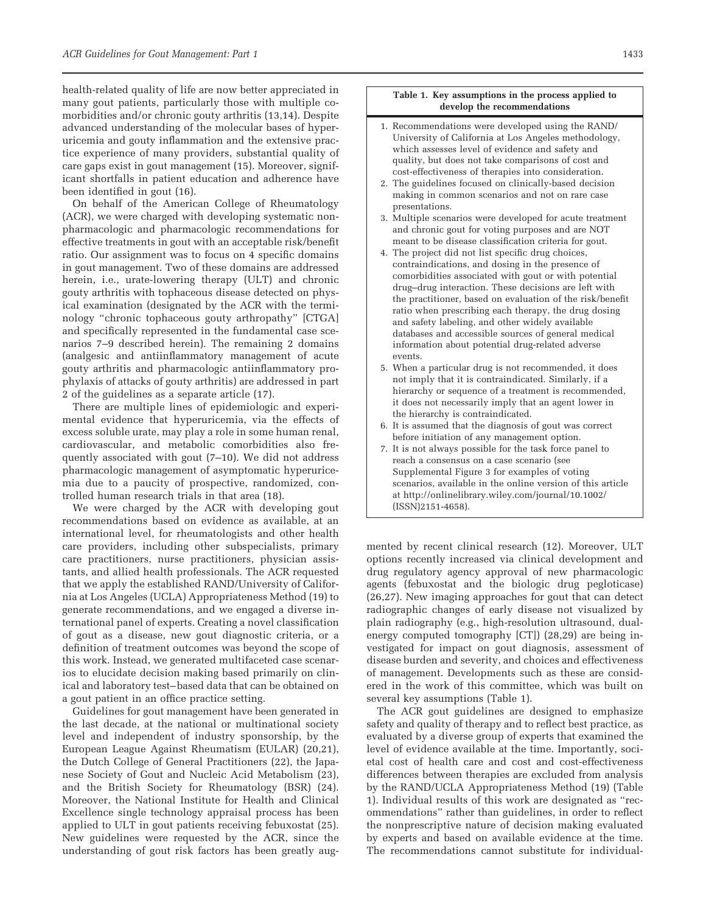health-related quality of life are now better appreciated in many gout patients, particularly those with multiple comorbidities and/or chronic gouty arthritis (13,14). Despite advanced understanding of the molecular bases of hyperuricemia and gouty inflammation and the extensive practice experience of many providers, substantial quality of care gaps exist in gout management (15). Moreover, significant shortfalls in patient education and adherence have been identified in gout (16).

On behalf of the American College of Rheumatology (ACR), we were charged with developing systematic nonpharmacologic and pharmacologic recommendations for effective treatments in gout with an acceptable risk/benefit ratio. Our assignment was to focus on 4 specific domains in gout management. Two of these domains are addressed herein, i.e., urate-lowering therapy (ULT) and chronic gouty arthritis with tophaceous disease detected on physical examination (designated by the ACR with the terminology "chronic tophaceous gouty arthropathy" [CTGA] and specifically represented in the fundamental case scenarios 7–9 described herein). The remaining 2 domains (analgesic and antiinflammatory management of acute gouty arthritis and pharmacologic antiinflammatory prophylaxis of attacks of gouty arthritis) are addressed in part 2 of the guidelines as a separate article (17).

There are multiple lines of epidemiologic and experimental evidence that hyperuricemia, via the effects of excess soluble urate, may play a role in some human renal, cardiovascular, and metabolic comorbidities also frequently associated with gout (7–10). We did not address pharmacologic management of asymptomatic hyperuricemia due to a paucity of prospective, randomized, controlled human research trials in that area (18).

We were charged by the ACR with developing gout recommendations based on evidence as available, at an international level, for rheumatologists and other health care providers, including other subspecialists, primary care practitioners, nurse practitioners, physician assistants, and allied health professionals. The ACR requested that we apply the established RAND/University of California at Los Angeles (UCLA) Appropriateness Method (19) to generate recommendations, and we engaged a diverse international panel of experts. Creating a novel classification of gout as a disease, new gout diagnostic criteria, or a definition of treatment outcomes was beyond the scope of this work. Instead, we generated multifaceted case scenarios to elucidate decision making based primarily on clinical and laboratory test– based data that can be obtained on a gout patient in an office practice setting.

Guidelines for gout management have been generated in the last decade, at the national or multinational society level and independent of industry sponsorship, by the European League Against Rheumatism (EULAR) (20,21), the Dutch College of General Practitioners (22), the Japanese Society of Gout and Nucleic Acid Metabolism (23), and the British Society for Rheumatology (BSR) (24). Moreover, the National Institute for Health and Clinical Excellence single technology appraisal process has been applied to ULT in gout patients receiving febuxostat (25). New guidelines were requested by the ACR, since the understanding of gout risk factors has been greatly aug-

#### **Table 1. Key assumptions in the process applied to develop the recommendations**

- 1. Recommendations were developed using the RAND/ University of California at Los Angeles methodology, which assesses level of evidence and safety and quality, but does not take comparisons of cost and cost-effectiveness of therapies into consideration.
- 2. The guidelines focused on clinically-based decision making in common scenarios and not on rare case presentations.
- 3. Multiple scenarios were developed for acute treatment and chronic gout for voting purposes and are NOT meant to be disease classification criteria for gout.
- 4. The project did not list specific drug choices, contraindications, and dosing in the presence of comorbidities associated with gout or with potential drug–drug interaction. These decisions are left with the practitioner, based on evaluation of the risk/benefit ratio when prescribing each therapy, the drug dosing and safety labeling, and other widely available databases and accessible sources of general medical information about potential drug-related adverse events.
- 5. When a particular drug is not recommended, it does not imply that it is contraindicated. Similarly, if a hierarchy or sequence of a treatment is recommended, it does not necessarily imply that an agent lower in the hierarchy is contraindicated.
- 6. It is assumed that the diagnosis of gout was correct before initiation of any management option.
- 7. It is not always possible for the task force panel to reach a consensus on a case scenario (see Supplemental Figure 3 for examples of voting scenarios, available in the online version of this article at http://onlinelibrary.wiley.com/journal/10.1002/ (ISSN)2151-4658).

mented by recent clinical research (12). Moreover, ULT options recently increased via clinical development and drug regulatory agency approval of new pharmacologic agents (febuxostat and the biologic drug pegloticase) (26,27). New imaging approaches for gout that can detect radiographic changes of early disease not visualized by plain radiography (e.g., high-resolution ultrasound, dualenergy computed tomography [CT]) (28,29) are being investigated for impact on gout diagnosis, assessment of disease burden and severity, and choices and effectiveness of management. Developments such as these are considered in the work of this committee, which was built on several key assumptions (Table 1).

The ACR gout guidelines are designed to emphasize safety and quality of therapy and to reflect best practice, as evaluated by a diverse group of experts that examined the level of evidence available at the time. Importantly, societal cost of health care and cost and cost-effectiveness differences between therapies are excluded from analysis by the RAND/UCLA Appropriateness Method (19) (Table 1). Individual results of this work are designated as "recommendations" rather than guidelines, in order to reflect the nonprescriptive nature of decision making evaluated by experts and based on available evidence at the time. The recommendations cannot substitute for individual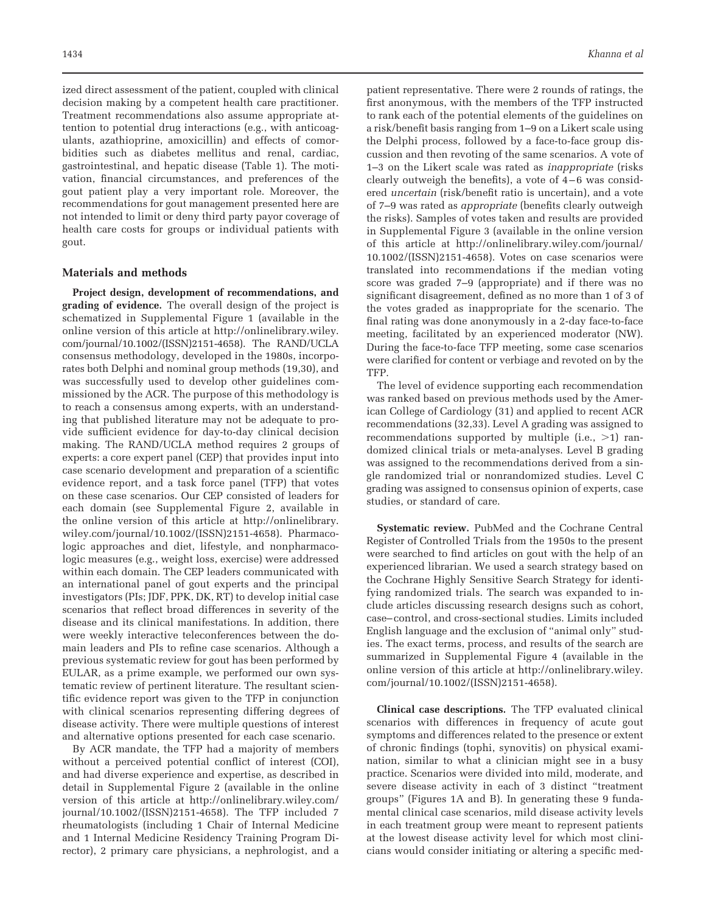ized direct assessment of the patient, coupled with clinical decision making by a competent health care practitioner. Treatment recommendations also assume appropriate attention to potential drug interactions (e.g., with anticoagulants, azathioprine, amoxicillin) and effects of comorbidities such as diabetes mellitus and renal, cardiac, gastrointestinal, and hepatic disease (Table 1). The motivation, financial circumstances, and preferences of the gout patient play a very important role. Moreover, the recommendations for gout management presented here are not intended to limit or deny third party payor coverage of health care costs for groups or individual patients with gout.

#### **Materials and methods**

**Project design, development of recommendations, and grading of evidence.** The overall design of the project is schematized in Supplemental Figure 1 (available in the online version of this article at http://onlinelibrary.wiley. com/journal/10.1002/(ISSN)2151-4658). The RAND/UCLA consensus methodology, developed in the 1980s, incorporates both Delphi and nominal group methods (19,30), and was successfully used to develop other guidelines commissioned by the ACR. The purpose of this methodology is to reach a consensus among experts, with an understanding that published literature may not be adequate to provide sufficient evidence for day-to-day clinical decision making. The RAND/UCLA method requires 2 groups of experts: a core expert panel (CEP) that provides input into case scenario development and preparation of a scientific evidence report, and a task force panel (TFP) that votes on these case scenarios. Our CEP consisted of leaders for each domain (see Supplemental Figure 2, available in the online version of this article at http://onlinelibrary. wiley.com/journal/10.1002/(ISSN)2151-4658). Pharmacologic approaches and diet, lifestyle, and nonpharmacologic measures (e.g., weight loss, exercise) were addressed within each domain. The CEP leaders communicated with an international panel of gout experts and the principal investigators (PIs; JDF, PPK, DK, RT) to develop initial case scenarios that reflect broad differences in severity of the disease and its clinical manifestations. In addition, there were weekly interactive teleconferences between the domain leaders and PIs to refine case scenarios. Although a previous systematic review for gout has been performed by EULAR, as a prime example, we performed our own systematic review of pertinent literature. The resultant scientific evidence report was given to the TFP in conjunction with clinical scenarios representing differing degrees of disease activity. There were multiple questions of interest and alternative options presented for each case scenario.

By ACR mandate, the TFP had a majority of members without a perceived potential conflict of interest (COI), and had diverse experience and expertise, as described in detail in Supplemental Figure 2 (available in the online version of this article at http://onlinelibrary.wiley.com/ journal/10.1002/(ISSN)2151-4658). The TFP included 7 rheumatologists (including 1 Chair of Internal Medicine and 1 Internal Medicine Residency Training Program Director), 2 primary care physicians, a nephrologist, and a

patient representative. There were 2 rounds of ratings, the first anonymous, with the members of the TFP instructed to rank each of the potential elements of the guidelines on a risk/benefit basis ranging from 1–9 on a Likert scale using the Delphi process, followed by a face-to-face group discussion and then revoting of the same scenarios. A vote of 1–3 on the Likert scale was rated as *inappropriate* (risks clearly outweigh the benefits), a vote of  $4-6$  was considered *uncertain* (risk/benefit ratio is uncertain), and a vote of 7–9 was rated as *appropriate* (benefits clearly outweigh the risks). Samples of votes taken and results are provided in Supplemental Figure 3 (available in the online version of this article at http://onlinelibrary.wiley.com/journal/ 10.1002/(ISSN)2151-4658). Votes on case scenarios were translated into recommendations if the median voting score was graded 7–9 (appropriate) and if there was no significant disagreement, defined as no more than 1 of 3 of the votes graded as inappropriate for the scenario. The final rating was done anonymously in a 2-day face-to-face meeting, facilitated by an experienced moderator (NW). During the face-to-face TFP meeting, some case scenarios were clarified for content or verbiage and revoted on by the TFP.

The level of evidence supporting each recommendation was ranked based on previous methods used by the American College of Cardiology (31) and applied to recent ACR recommendations (32,33). Level A grading was assigned to recommendations supported by multiple (i.e.,  $>1$ ) randomized clinical trials or meta-analyses. Level B grading was assigned to the recommendations derived from a single randomized trial or nonrandomized studies. Level C grading was assigned to consensus opinion of experts, case studies, or standard of care.

**Systematic review.** PubMed and the Cochrane Central Register of Controlled Trials from the 1950s to the present were searched to find articles on gout with the help of an experienced librarian. We used a search strategy based on the Cochrane Highly Sensitive Search Strategy for identifying randomized trials. The search was expanded to include articles discussing research designs such as cohort, case– control, and cross-sectional studies. Limits included English language and the exclusion of "animal only" studies. The exact terms, process, and results of the search are summarized in Supplemental Figure 4 (available in the online version of this article at http://onlinelibrary.wiley. com/journal/10.1002/(ISSN)2151-4658).

**Clinical case descriptions.** The TFP evaluated clinical scenarios with differences in frequency of acute gout symptoms and differences related to the presence or extent of chronic findings (tophi, synovitis) on physical examination, similar to what a clinician might see in a busy practice. Scenarios were divided into mild, moderate, and severe disease activity in each of 3 distinct "treatment groups" (Figures 1A and B). In generating these 9 fundamental clinical case scenarios, mild disease activity levels in each treatment group were meant to represent patients at the lowest disease activity level for which most clinicians would consider initiating or altering a specific med-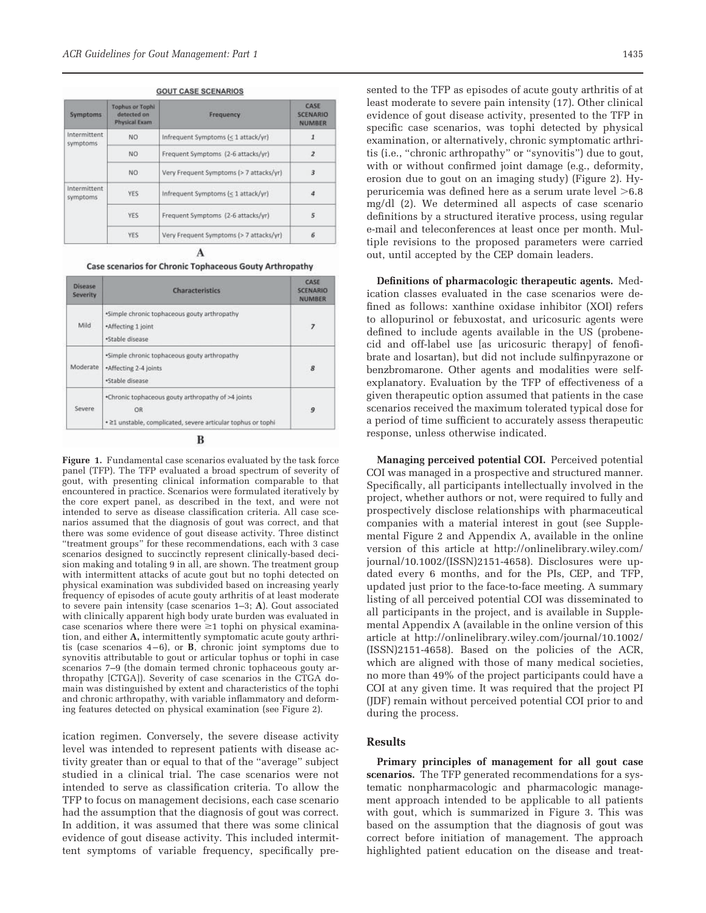| <b>Tophus or Tophi</b><br>detected on<br>Symptoms<br>Physical Exam |                 | Frequency                               | CASE<br><b>SCENARIO</b><br><b>NUMBER</b> |
|--------------------------------------------------------------------|-----------------|-----------------------------------------|------------------------------------------|
| Intermittent<br>symptoms                                           | <b>NO</b>       | Infrequent Symptoms (< 1 attack/yr)     |                                          |
|                                                                    | NO              | Frequent Symptoms (2-6 attacks/yr)      | $\overline{z}$                           |
|                                                                    | NO <sub>1</sub> | Very Frequent Symptoms (> 7 attacks/yr) | 3                                        |
| Intermittent<br>symptoms                                           | YES             | Infrequent Symptoms (< 1 attack/yr)     | 4                                        |
|                                                                    | YES             | Frequent Symptoms (2-6 attacks/yr)      | 5                                        |
|                                                                    | <b>YES</b>      | Very Frequent Symptoms (> 7 attacks/yr) | 6                                        |

**GOUT CASE SCENARIOS** 

Case scenarios for Chronic Tophaceous Gouty Arthropathy

| <b>Disease</b><br><b>Severity</b> | <b>Characteristics</b>                                                                                                   | CASE<br><b>SCENARIO</b><br><b>NUMBER</b> |
|-----------------------------------|--------------------------------------------------------------------------------------------------------------------------|------------------------------------------|
| Mild                              | *Simple chronic tophaceous gouty arthropathy<br>*Affecting 1 joint<br>·Stable disease                                    | $\overline{z}$                           |
| Moderate                          | *Simple chronic tophaceous gouty arthropathy<br>*Affecting 2-4 joints<br>*Stable disease                                 | 8                                        |
| Severe                            | *Chronic tophaceous gouty arthropathy of >4 joints<br>OR<br>. ≥1 unstable, complicated, severe articular tophus or tophi | 9                                        |

B

**Figure 1.** Fundamental case scenarios evaluated by the task force panel (TFP). The TFP evaluated a broad spectrum of severity of gout, with presenting clinical information comparable to that encountered in practice. Scenarios were formulated iteratively by the core expert panel, as described in the text, and were not intended to serve as disease classification criteria. All case scenarios assumed that the diagnosis of gout was correct, and that there was some evidence of gout disease activity. Three distinct "treatment groups" for these recommendations, each with 3 case scenarios designed to succinctly represent clinically-based decision making and totaling 9 in all, are shown. The treatment group with intermittent attacks of acute gout but no tophi detected on physical examination was subdivided based on increasing yearly frequency of episodes of acute gouty arthritis of at least moderate to severe pain intensity (case scenarios 1–3; **A**). Gout associated with clinically apparent high body urate burden was evaluated in case scenarios where there were  $\geq 1$  tophi on physical examination, and either **A,** intermittently symptomatic acute gouty arthritis (case scenarios  $4-6$ ), or **B**, chronic joint symptoms due to synovitis attributable to gout or articular tophus or tophi in case scenarios 7–9 (the domain termed chronic tophaceous gouty arthropathy [CTGA]). Severity of case scenarios in the CTGA domain was distinguished by extent and characteristics of the tophi and chronic arthropathy, with variable inflammatory and deforming features detected on physical examination (see Figure 2).

ication regimen. Conversely, the severe disease activity level was intended to represent patients with disease activity greater than or equal to that of the "average" subject studied in a clinical trial. The case scenarios were not intended to serve as classification criteria. To allow the TFP to focus on management decisions, each case scenario had the assumption that the diagnosis of gout was correct. In addition, it was assumed that there was some clinical evidence of gout disease activity. This included intermittent symptoms of variable frequency, specifically pre-

sented to the TFP as episodes of acute gouty arthritis of at least moderate to severe pain intensity (17). Other clinical evidence of gout disease activity, presented to the TFP in specific case scenarios, was tophi detected by physical examination, or alternatively, chronic symptomatic arthritis (i.e., "chronic arthropathy" or "synovitis") due to gout, with or without confirmed joint damage (e.g., deformity, erosion due to gout on an imaging study) (Figure 2). Hyperuricemia was defined here as a serum urate level  $>6.8$ mg/dl (2). We determined all aspects of case scenario definitions by a structured iterative process, using regular e-mail and teleconferences at least once per month. Multiple revisions to the proposed parameters were carried out, until accepted by the CEP domain leaders.

**Definitions of pharmacologic therapeutic agents.** Medication classes evaluated in the case scenarios were defined as follows: xanthine oxidase inhibitor (XOI) refers to allopurinol or febuxostat, and uricosuric agents were defined to include agents available in the US (probenecid and off-label use [as uricosuric therapy] of fenofibrate and losartan), but did not include sulfinpyrazone or benzbromarone. Other agents and modalities were selfexplanatory. Evaluation by the TFP of effectiveness of a given therapeutic option assumed that patients in the case scenarios received the maximum tolerated typical dose for a period of time sufficient to accurately assess therapeutic response, unless otherwise indicated.

**Managing perceived potential COI.** Perceived potential COI was managed in a prospective and structured manner. Specifically, all participants intellectually involved in the project, whether authors or not, were required to fully and prospectively disclose relationships with pharmaceutical companies with a material interest in gout (see Supplemental Figure 2 and Appendix A, available in the online version of this article at http://onlinelibrary.wiley.com/ journal/10.1002/(ISSN)2151-4658). Disclosures were updated every 6 months, and for the PIs, CEP, and TFP, updated just prior to the face-to-face meeting. A summary listing of all perceived potential COI was disseminated to all participants in the project, and is available in Supplemental Appendix A (available in the online version of this article at http://onlinelibrary.wiley.com/journal/10.1002/ (ISSN)2151-4658). Based on the policies of the ACR, which are aligned with those of many medical societies, no more than 49% of the project participants could have a COI at any given time. It was required that the project PI (JDF) remain without perceived potential COI prior to and during the process.

## **Results**

**Primary principles of management for all gout case scenarios.** The TFP generated recommendations for a systematic nonpharmacologic and pharmacologic management approach intended to be applicable to all patients with gout, which is summarized in Figure 3. This was based on the assumption that the diagnosis of gout was correct before initiation of management. The approach highlighted patient education on the disease and treat-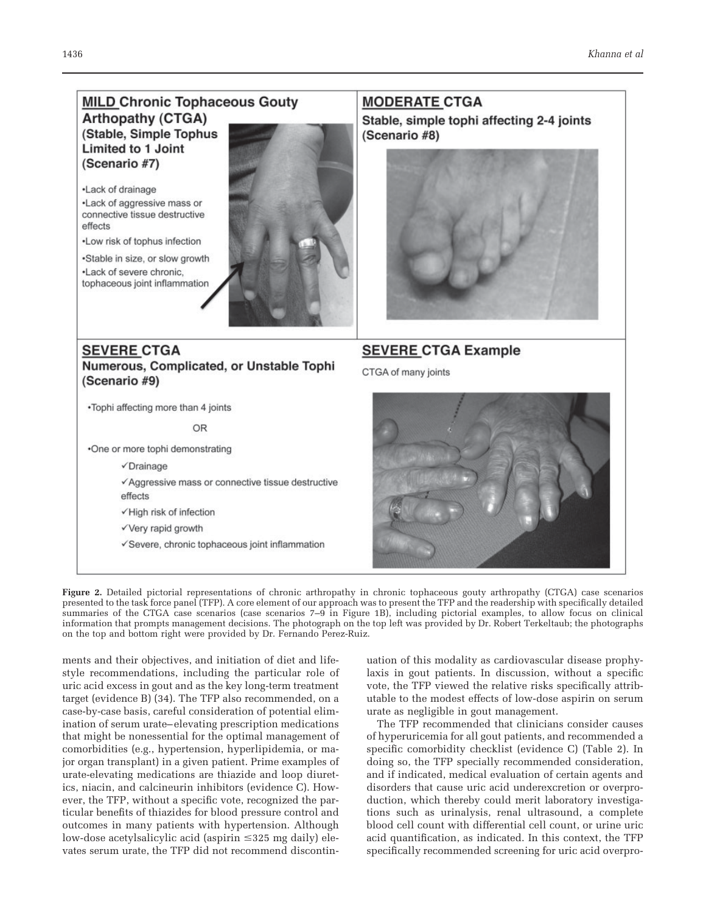

**Figure 2.** Detailed pictorial representations of chronic arthropathy in chronic tophaceous gouty arthropathy (CTGA) case scenarios presented to the task force panel (TFP). A core element of our approach was to present the TFP and the readership with specifically detailed summaries of the CTGA case scenarios (case scenarios 7–9 in Figure 1B), including pictorial examples, to allow focus on clinical information that prompts management decisions. The photograph on the top left was provided by Dr. Robert Terkeltaub; the photographs on the top and bottom right were provided by Dr. Fernando Perez-Ruiz.

ments and their objectives, and initiation of diet and lifestyle recommendations, including the particular role of uric acid excess in gout and as the key long-term treatment target (evidence B) (34). The TFP also recommended, on a case-by-case basis, careful consideration of potential elimination of serum urate– elevating prescription medications that might be nonessential for the optimal management of comorbidities (e.g., hypertension, hyperlipidemia, or major organ transplant) in a given patient. Prime examples of urate-elevating medications are thiazide and loop diuretics, niacin, and calcineurin inhibitors (evidence C). However, the TFP, without a specific vote, recognized the particular benefits of thiazides for blood pressure control and outcomes in many patients with hypertension. Although low-dose acetylsalicylic acid (aspirin  $\leq$ 325 mg daily) elevates serum urate, the TFP did not recommend discontin-

uation of this modality as cardiovascular disease prophylaxis in gout patients. In discussion, without a specific vote, the TFP viewed the relative risks specifically attributable to the modest effects of low-dose aspirin on serum urate as negligible in gout management.

The TFP recommended that clinicians consider causes of hyperuricemia for all gout patients, and recommended a specific comorbidity checklist (evidence C) (Table 2). In doing so, the TFP specially recommended consideration, and if indicated, medical evaluation of certain agents and disorders that cause uric acid underexcretion or overproduction, which thereby could merit laboratory investigations such as urinalysis, renal ultrasound, a complete blood cell count with differential cell count, or urine uric acid quantification, as indicated. In this context, the TFP specifically recommended screening for uric acid overpro-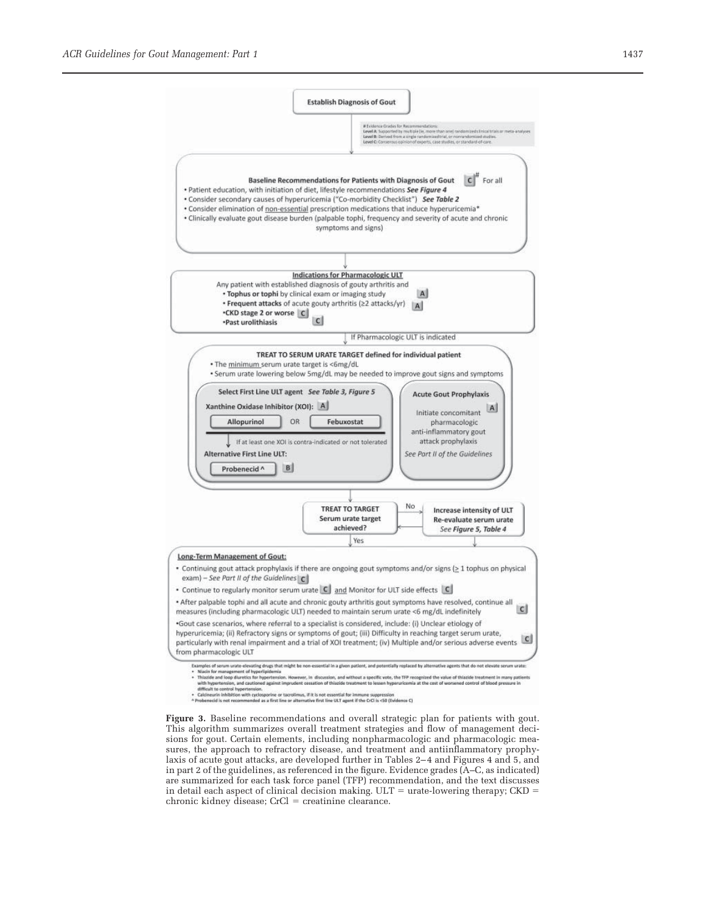

**Figure 3.** Baseline recommendations and overall strategic plan for patients with gout. This algorithm summarizes overall treatment strategies and flow of management decisions for gout. Certain elements, including nonpharmacologic and pharmacologic measures, the approach to refractory disease, and treatment and antiinflammatory prophylaxis of acute gout attacks, are developed further in Tables 2– 4 and Figures 4 and 5, and in part 2 of the guidelines, as referenced in the figure. Evidence grades (A–C, as indicated) are summarized for each task force panel (TFP) recommendation, and the text discusses in detail each aspect of clinical decision making.  $ULT =$  urate-lowering therapy;  $CKD =$  $\alpha$ chronic kidney disease;  $\text{CrCl} = \text{c}$ reatinine clearance.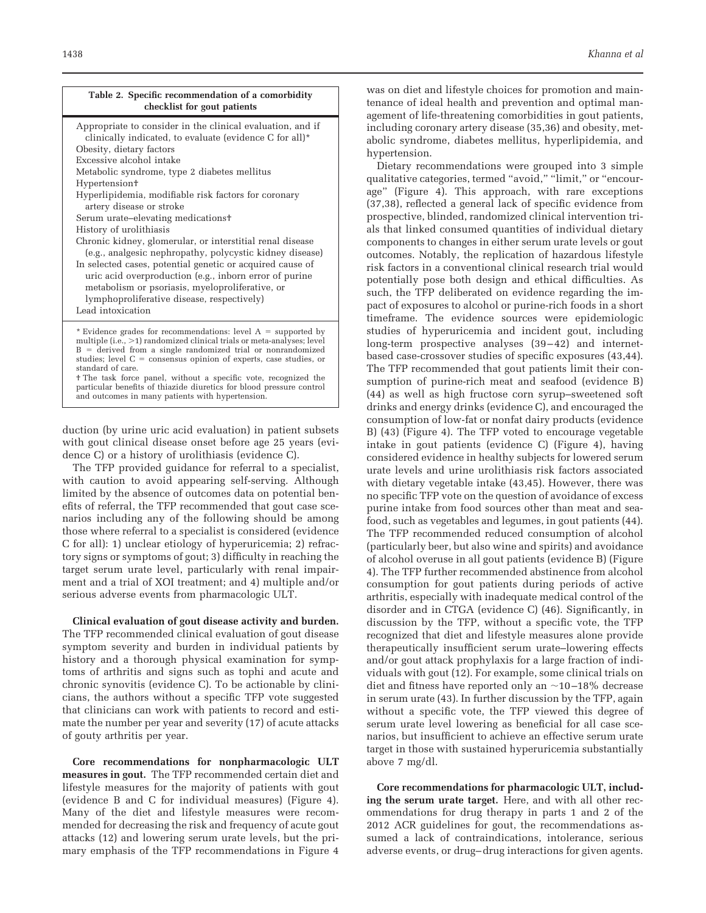| Table 2. Specific recommendation of a comorbidity |
|---------------------------------------------------|
| checklist for gout patients                       |

| Appropriate to consider in the clinical evaluation, and if<br>clinically indicated, to evaluate (evidence C for all)* |
|-----------------------------------------------------------------------------------------------------------------------|
| Obesity, dietary factors                                                                                              |
| Excessive alcohol intake                                                                                              |
| Metabolic syndrome, type 2 diabetes mellitus                                                                          |
| Hypertension+                                                                                                         |
| Hyperlipidemia, modifiable risk factors for coronary                                                                  |
| artery disease or stroke                                                                                              |
| Serum urate-elevating medications+                                                                                    |
| History of urolithiasis                                                                                               |
| Chronic kidney, glomerular, or interstitial renal disease                                                             |
| (e.g., analgesic nephropathy, polycystic kidney disease)                                                              |
| In selected cases, potential genetic or acquired cause of                                                             |
| uric acid overproduction (e.g., inborn error of purine                                                                |
| metabolism or psoriasis, myeloproliferative, or                                                                       |
| lymphoproliferative disease, respectively)                                                                            |
| Lead intoxication                                                                                                     |
| * Evidence grades for recommendations: level $A =$ supported by                                                       |
| multiple (i.e., $>1$ ) randomized clinical trials or meta-analyses; level                                             |
| $B =$ derived from a single randomized trial or nonrandomized                                                         |

studies; level C consensus opinion of experts, case studies, or standard of care. † The task force panel, without a specific vote, recognized the

particular benefits of thiazide diuretics for blood pressure control and outcomes in many patients with hypertension.

duction (by urine uric acid evaluation) in patient subsets with gout clinical disease onset before age 25 years (evidence C) or a history of urolithiasis (evidence C).

The TFP provided guidance for referral to a specialist, with caution to avoid appearing self-serving. Although limited by the absence of outcomes data on potential benefits of referral, the TFP recommended that gout case scenarios including any of the following should be among those where referral to a specialist is considered (evidence C for all): 1) unclear etiology of hyperuricemia; 2) refractory signs or symptoms of gout; 3) difficulty in reaching the target serum urate level, particularly with renal impairment and a trial of XOI treatment; and 4) multiple and/or serious adverse events from pharmacologic ULT.

**Clinical evaluation of gout disease activity and burden.** The TFP recommended clinical evaluation of gout disease symptom severity and burden in individual patients by history and a thorough physical examination for symptoms of arthritis and signs such as tophi and acute and chronic synovitis (evidence C). To be actionable by clinicians, the authors without a specific TFP vote suggested that clinicians can work with patients to record and estimate the number per year and severity (17) of acute attacks of gouty arthritis per year.

**Core recommendations for nonpharmacologic ULT measures in gout.** The TFP recommended certain diet and lifestyle measures for the majority of patients with gout (evidence B and C for individual measures) (Figure 4). Many of the diet and lifestyle measures were recommended for decreasing the risk and frequency of acute gout attacks (12) and lowering serum urate levels, but the primary emphasis of the TFP recommendations in Figure 4

was on diet and lifestyle choices for promotion and maintenance of ideal health and prevention and optimal management of life-threatening comorbidities in gout patients, including coronary artery disease (35,36) and obesity, metabolic syndrome, diabetes mellitus, hyperlipidemia, and hypertension.

Dietary recommendations were grouped into 3 simple qualitative categories, termed "avoid," "limit," or "encourage" (Figure 4). This approach, with rare exceptions (37,38), reflected a general lack of specific evidence from prospective, blinded, randomized clinical intervention trials that linked consumed quantities of individual dietary components to changes in either serum urate levels or gout outcomes. Notably, the replication of hazardous lifestyle risk factors in a conventional clinical research trial would potentially pose both design and ethical difficulties. As such, the TFP deliberated on evidence regarding the impact of exposures to alcohol or purine-rich foods in a short timeframe. The evidence sources were epidemiologic studies of hyperuricemia and incident gout, including long-term prospective analyses (39–42) and internetbased case-crossover studies of specific exposures (43,44). The TFP recommended that gout patients limit their consumption of purine-rich meat and seafood (evidence B) (44) as well as high fructose corn syrup–sweetened soft drinks and energy drinks (evidence C), and encouraged the consumption of low-fat or nonfat dairy products (evidence B) (43) (Figure 4). The TFP voted to encourage vegetable intake in gout patients (evidence C) (Figure 4), having considered evidence in healthy subjects for lowered serum urate levels and urine urolithiasis risk factors associated with dietary vegetable intake (43,45). However, there was no specific TFP vote on the question of avoidance of excess purine intake from food sources other than meat and seafood, such as vegetables and legumes, in gout patients (44). The TFP recommended reduced consumption of alcohol (particularly beer, but also wine and spirits) and avoidance of alcohol overuse in all gout patients (evidence B) (Figure 4). The TFP further recommended abstinence from alcohol consumption for gout patients during periods of active arthritis, especially with inadequate medical control of the disorder and in CTGA (evidence C) (46). Significantly, in discussion by the TFP, without a specific vote, the TFP recognized that diet and lifestyle measures alone provide therapeutically insufficient serum urate–lowering effects and/or gout attack prophylaxis for a large fraction of individuals with gout (12). For example, some clinical trials on diet and fitness have reported only an  $\sim$ 10–18% decrease in serum urate (43). In further discussion by the TFP, again without a specific vote, the TFP viewed this degree of serum urate level lowering as beneficial for all case scenarios, but insufficient to achieve an effective serum urate target in those with sustained hyperuricemia substantially above 7 mg/dl.

**Core recommendations for pharmacologic ULT, including the serum urate target.** Here, and with all other recommendations for drug therapy in parts 1 and 2 of the 2012 ACR guidelines for gout, the recommendations assumed a lack of contraindications, intolerance, serious adverse events, or drug–drug interactions for given agents.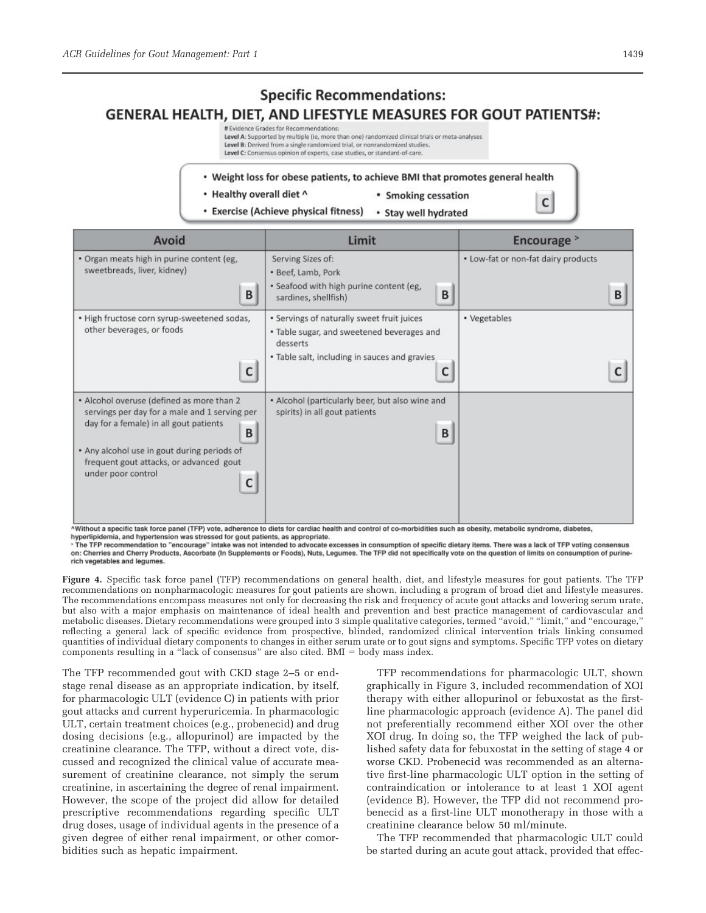# **Specific Recommendations:** GENERAL HEALTH, DIET, AND LIFESTYLE MEASURES FOR GOUT PATIENTS#: # Evidence Grades for Recommendations:

Level A: Supported by multiple (ie, more than one) randomized clinical trials or meta-analyses Level B: Derived from a single randomized trial, or nonrandomized studies Level C: Consensus opinion of experts, case studies, or standard-of-care.

|  | • Weight loss for obese patients, to achieve BMI that promotes general health |  |  |
|--|-------------------------------------------------------------------------------|--|--|
|  |                                                                               |  |  |

• Healthy overall diet ^ • Smoking cessation · Exercise (Achieve physical fitness) - Chau well budgetod

| <b>Avoid</b>                                                                                                                                                                                                                                                   | Limit                                                                                                                                                      | Encourage >                         |
|----------------------------------------------------------------------------------------------------------------------------------------------------------------------------------------------------------------------------------------------------------------|------------------------------------------------------------------------------------------------------------------------------------------------------------|-------------------------------------|
| · Organ meats high in purine content (eg,<br>sweetbreads, liver, kidney)<br>B                                                                                                                                                                                  | Serving Sizes of:<br>· Beef, Lamb, Pork<br>· Seafood with high purine content (eg,<br>B<br>sardines, shellfish)                                            | • Low-fat or non-fat dairy products |
| . High fructose corn syrup-sweetened sodas,<br>other beverages, or foods<br>$\mathsf{C}$                                                                                                                                                                       | • Servings of naturally sweet fruit juices<br>· Table sugar, and sweetened beverages and<br>desserts<br>• Table salt, including in sauces and gravies<br>c | • Vegetables                        |
| • Alcohol overuse (defined as more than 2<br>servings per day for a male and 1 serving per<br>day for a female) in all gout patients<br>B<br>. Any alcohol use in gout during periods of<br>frequent gout attacks, or advanced gout<br>under poor control<br>C | • Alcohol (particularly beer, but also wine and<br>spirits) in all gout patients<br>B                                                                      |                                     |

^Without a specific task force panel (TFP) vote, adherence to diets for cardiac health and control of co-morbidities such as obesity, metabolic syndrome, diabetes, hyperlipidemia, and hypertension was stressed for gout patients, as appropriate.

The TFP recommendation to "encourage" intake was not intended to advocate excesses in consumption of specific dietary items. There was a lack of TFP voting consensus on: Cherries and Cherry Products, Ascorbate (In Supplements or Foods), Nuts, Legumes. The TFP did not specifically vote on the question of limits on consumption of purinerich vegetables and legumes.

**Figure 4.** Specific task force panel (TFP) recommendations on general health, diet, and lifestyle measures for gout patients. The TFP recommendations on nonpharmacologic measures for gout patients are shown, including a program of broad diet and lifestyle measures. The recommendations encompass measures not only for decreasing the risk and frequency of acute gout attacks and lowering serum urate, but also with a major emphasis on maintenance of ideal health and prevention and best practice management of cardiovascular and metabolic diseases. Dietary recommendations were grouped into 3 simple qualitative categories, termed "avoid," "limit," and "encourage," reflecting a general lack of specific evidence from prospective, blinded, randomized clinical intervention trials linking consumed quantities of individual dietary components to changes in either serum urate or to gout signs and symptoms. Specific TFP votes on dietary components resulting in a "lack of consensus" are also cited.  $BMI = body$  mass index.

The TFP recommended gout with CKD stage 2–5 or endstage renal disease as an appropriate indication, by itself, for pharmacologic ULT (evidence C) in patients with prior gout attacks and current hyperuricemia. In pharmacologic ULT, certain treatment choices (e.g., probenecid) and drug dosing decisions (e.g., allopurinol) are impacted by the creatinine clearance. The TFP, without a direct vote, discussed and recognized the clinical value of accurate measurement of creatinine clearance, not simply the serum creatinine, in ascertaining the degree of renal impairment. However, the scope of the project did allow for detailed prescriptive recommendations regarding specific ULT drug doses, usage of individual agents in the presence of a given degree of either renal impairment, or other comorbidities such as hepatic impairment.

TFP recommendations for pharmacologic ULT, shown graphically in Figure 3, included recommendation of XOI therapy with either allopurinol or febuxostat as the firstline pharmacologic approach (evidence A). The panel did not preferentially recommend either XOI over the other XOI drug. In doing so, the TFP weighed the lack of published safety data for febuxostat in the setting of stage 4 or worse CKD. Probenecid was recommended as an alternative first-line pharmacologic ULT option in the setting of contraindication or intolerance to at least 1 XOI agent (evidence B). However, the TFP did not recommend probenecid as a first-line ULT monotherapy in those with a creatinine clearance below 50 ml/minute.

The TFP recommended that pharmacologic ULT could be started during an acute gout attack, provided that effec-

C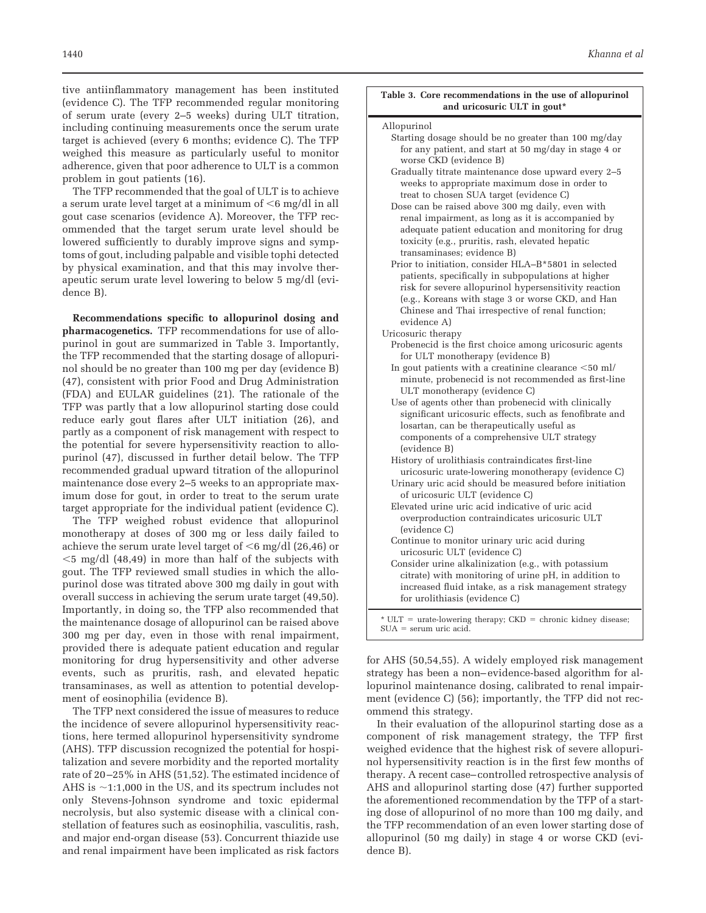tive antiinflammatory management has been instituted (evidence C). The TFP recommended regular monitoring of serum urate (every 2–5 weeks) during ULT titration, including continuing measurements once the serum urate target is achieved (every 6 months; evidence C). The TFP weighed this measure as particularly useful to monitor adherence, given that poor adherence to ULT is a common problem in gout patients (16).

The TFP recommended that the goal of ULT is to achieve a serum urate level target at a minimum of  $<6$  mg/dl in all gout case scenarios (evidence A). Moreover, the TFP recommended that the target serum urate level should be lowered sufficiently to durably improve signs and symptoms of gout, including palpable and visible tophi detected by physical examination, and that this may involve therapeutic serum urate level lowering to below 5 mg/dl (evidence B).

**Recommendations specific to allopurinol dosing and pharmacogenetics.** TFP recommendations for use of allopurinol in gout are summarized in Table 3. Importantly, the TFP recommended that the starting dosage of allopurinol should be no greater than 100 mg per day (evidence B) (47), consistent with prior Food and Drug Administration (FDA) and EULAR guidelines (21). The rationale of the TFP was partly that a low allopurinol starting dose could reduce early gout flares after ULT initiation (26), and partly as a component of risk management with respect to the potential for severe hypersensitivity reaction to allopurinol (47), discussed in further detail below. The TFP recommended gradual upward titration of the allopurinol maintenance dose every 2–5 weeks to an appropriate maximum dose for gout, in order to treat to the serum urate target appropriate for the individual patient (evidence C).

The TFP weighed robust evidence that allopurinol monotherapy at doses of 300 mg or less daily failed to achieve the serum urate level target of  $<$ 6 mg/dl (26,46) or  $<$ 5 mg/dl (48,49) in more than half of the subjects with gout. The TFP reviewed small studies in which the allopurinol dose was titrated above 300 mg daily in gout with overall success in achieving the serum urate target (49,50). Importantly, in doing so, the TFP also recommended that the maintenance dosage of allopurinol can be raised above 300 mg per day, even in those with renal impairment, provided there is adequate patient education and regular monitoring for drug hypersensitivity and other adverse events, such as pruritis, rash, and elevated hepatic transaminases, as well as attention to potential development of eosinophilia (evidence B).

The TFP next considered the issue of measures to reduce the incidence of severe allopurinol hypersensitivity reactions, here termed allopurinol hypersensitivity syndrome (AHS). TFP discussion recognized the potential for hospitalization and severe morbidity and the reported mortality rate of 20 –25% in AHS (51,52). The estimated incidence of AHS is  ${\sim}$ 1:1,000 in the US, and its spectrum includes not only Stevens-Johnson syndrome and toxic epidermal necrolysis, but also systemic disease with a clinical constellation of features such as eosinophilia, vasculitis, rash, and major end-organ disease (53). Concurrent thiazide use and renal impairment have been implicated as risk factors

#### **Table 3. Core recommendations in the use of allopurinol and uricosuric ULT in gout\***

#### Allopurinol

- Starting dosage should be no greater than 100 mg/day for any patient, and start at 50 mg/day in stage 4 or worse CKD (evidence B)
- Gradually titrate maintenance dose upward every 2–5 weeks to appropriate maximum dose in order to treat to chosen SUA target (evidence C)
- Dose can be raised above 300 mg daily, even with renal impairment, as long as it is accompanied by adequate patient education and monitoring for drug toxicity (e.g., pruritis, rash, elevated hepatic transaminases; evidence B)
- Prior to initiation, consider HLA–B\*5801 in selected patients, specifically in subpopulations at higher risk for severe allopurinol hypersensitivity reaction (e.g., Koreans with stage 3 or worse CKD, and Han Chinese and Thai irrespective of renal function; evidence A)

Uricosuric therapy

- Probenecid is the first choice among uricosuric agents for ULT monotherapy (evidence B)
- In gout patients with a creatinine clearance  $\leq$  50 ml/ minute, probenecid is not recommended as first-line ULT monotherapy (evidence C)
- Use of agents other than probenecid with clinically significant uricosuric effects, such as fenofibrate and losartan, can be therapeutically useful as components of a comprehensive ULT strategy (evidence B)
- History of urolithiasis contraindicates first-line uricosuric urate-lowering monotherapy (evidence C) Urinary uric acid should be measured before initiation
- of uricosuric ULT (evidence C) Elevated urine uric acid indicative of uric acid overproduction contraindicates uricosuric ULT (evidence C)
- Continue to monitor urinary uric acid during uricosuric ULT (evidence C)
- Consider urine alkalinization (e.g., with potassium citrate) with monitoring of urine pH, in addition to increased fluid intake, as a risk management strategy for urolithiasis (evidence C)

 $*$  ULT = urate-lowering therapy; CKD = chronic kidney disease;  $SUA =$  serum uric acid.

for AHS (50,54,55). A widely employed risk management strategy has been a non– evidence-based algorithm for allopurinol maintenance dosing, calibrated to renal impairment (evidence C) (56); importantly, the TFP did not recommend this strategy.

In their evaluation of the allopurinol starting dose as a component of risk management strategy, the TFP first weighed evidence that the highest risk of severe allopurinol hypersensitivity reaction is in the first few months of therapy. A recent case– controlled retrospective analysis of AHS and allopurinol starting dose (47) further supported the aforementioned recommendation by the TFP of a starting dose of allopurinol of no more than 100 mg daily, and the TFP recommendation of an even lower starting dose of allopurinol (50 mg daily) in stage 4 or worse CKD (evidence B).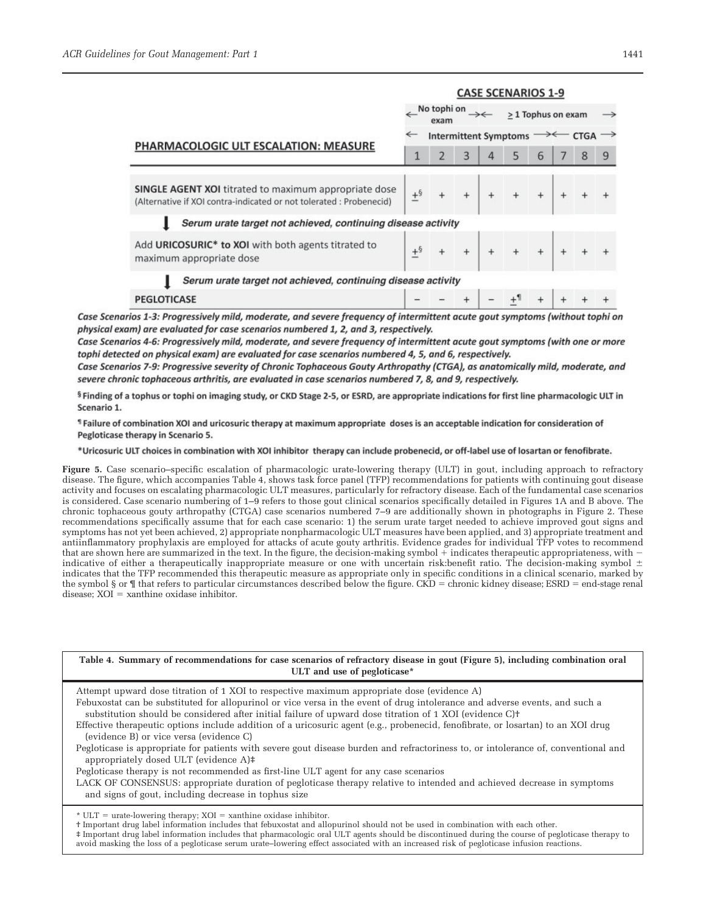|                                                                                                                                     | <b>CASE SCENARIOS 1-9</b>                                                        |  |     |   |   |   |   |   |               |
|-------------------------------------------------------------------------------------------------------------------------------------|----------------------------------------------------------------------------------|--|-----|---|---|---|---|---|---------------|
|                                                                                                                                     | No tophi on $\rightarrow \leftarrow$ > 1 Tophus on exam<br>exam                  |  |     |   |   |   |   |   | $\rightarrow$ |
|                                                                                                                                     | Intermittent Symptoms $\rightarrow\leftarrow$ CTGA $\rightarrow$<br>$\leftarrow$ |  |     |   |   |   |   |   |               |
| <b>PHARMACOLOGIC ULT ESCALATION: MEASURE</b>                                                                                        | 1                                                                                |  | 3   | 4 | 5 | 6 | 7 | 8 | 9             |
| <b>SINGLE AGENT XOI</b> titrated to maximum appropriate dose<br>(Alternative if XOI contra-indicated or not tolerated : Probenecid) | $+$ <sup>5</sup>                                                                 |  | $+$ |   |   |   |   |   |               |
| Serum urate target not achieved, continuing disease activity                                                                        |                                                                                  |  |     |   |   |   |   |   |               |
| Add URICOSURIC* to XOI with both agents titrated to<br>maximum appropriate dose                                                     | $+$ §                                                                            |  |     |   |   |   |   |   |               |
| Serum urate target not achieved, continuing disease activity                                                                        |                                                                                  |  |     |   |   |   |   |   |               |
| <b>PEGLOTICASE</b>                                                                                                                  |                                                                                  |  |     |   |   |   |   |   |               |

Case Scenarios 1-3: Progressively mild, moderate, and severe frequency of intermittent acute gout symptoms (without tophi on physical exam) are evaluated for case scenarios numbered 1, 2, and 3, respectively.

Case Scenarios 4-6: Progressively mild, moderate, and severe frequency of intermittent acute gout symptoms (with one or more tophi detected on physical exam) are evaluated for case scenarios numbered 4, 5, and 6, respectively.

Case Scenarios 7-9: Progressive severity of Chronic Tophaceous Gouty Arthropathy (CTGA), as anatomically mild, moderate, and severe chronic tophaceous arthritis, are evaluated in case scenarios numbered 7, 8, and 9, respectively.

§ Finding of a tophus or tophi on imaging study, or CKD Stage 2-5, or ESRD, are appropriate indications for first line pharmacologic ULT in Scenario 1.

<sup>1</sup> Failure of combination XOI and uricosuric therapy at maximum appropriate doses is an acceptable indication for consideration of Pegloticase therapy in Scenario 5.

\*Uricosuric ULT choices in combination with XOI inhibitor therapy can include probenecid, or off-label use of losartan or fenofibrate.

**Figure 5.** Case scenario–specific escalation of pharmacologic urate-lowering therapy (ULT) in gout, including approach to refractory disease. The figure, which accompanies Table 4, shows task force panel (TFP) recommendations for patients with continuing gout disease activity and focuses on escalating pharmacologic ULT measures, particularly for refractory disease. Each of the fundamental case scenarios is considered. Case scenario numbering of 1–9 refers to those gout clinical scenarios specifically detailed in Figures 1A and B above. The chronic tophaceous gouty arthropathy (CTGA) case scenarios numbered 7–9 are additionally shown in photographs in Figure 2. These recommendations specifically assume that for each case scenario: 1) the serum urate target needed to achieve improved gout signs and symptoms has not yet been achieved, 2) appropriate nonpharmacologic ULT measures have been applied, and 3) appropriate treatment and antiinflammatory prophylaxis are employed for attacks of acute gouty arthritis. Evidence grades for individual TFP votes to recommend that are shown here are summarized in the text. In the figure, the decision-making symbol  $+$  indicates therapeutic appropriateness, with  $$ indicative of either a therapeutically inappropriate measure or one with uncertain risk:benefit ratio. The decision-making symbol  $\pm$ indicates that the TFP recommended this therapeutic measure as appropriate only in specific conditions in a clinical scenario, marked by the symbol § or  $\P$  that refers to particular circumstances described below the figure. CKD = chronic kidney disease; ESRD = end-stage renal disease;  $XOI = xanthine oxidase inhibitor.$ 

| Table 4. Summary of recommendations for case scenarios of refractory disease in gout (Figure 5), including combination oral<br>ULT and use of pegloticase*                                                                                                                                                                                                                                                                                                                                                                                                                                                                                                                                                                                                                                                                                                                                                                                                                                            |  |
|-------------------------------------------------------------------------------------------------------------------------------------------------------------------------------------------------------------------------------------------------------------------------------------------------------------------------------------------------------------------------------------------------------------------------------------------------------------------------------------------------------------------------------------------------------------------------------------------------------------------------------------------------------------------------------------------------------------------------------------------------------------------------------------------------------------------------------------------------------------------------------------------------------------------------------------------------------------------------------------------------------|--|
| Attempt upward dose titration of 1 XOI to respective maximum appropriate dose (evidence A)<br>Febuxostat can be substituted for allopurinol or vice versa in the event of drug intolerance and adverse events, and such a<br>substitution should be considered after initial failure of upward dose titration of 1 XOI (evidence C) <sup>+</sup><br>Effective therapeutic options include addition of a uricosuric agent (e.g., probenecid, fenofibrate, or losartan) to an XOI drug<br>(evidence B) or vice versa (evidence C)<br>Pegloticase is appropriate for patients with severe gout disease burden and refractoriness to, or intolerance of, conventional and<br>appropriately dosed ULT (evidence $A$ ) $\ddagger$<br>Pegloticase therapy is not recommended as first-line ULT agent for any case scenarios<br>LACK OF CONSENSUS: appropriate duration of pegloticase therapy relative to intended and achieved decrease in symptoms<br>and signs of gout, including decrease in tophus size |  |
| $*$ ULT = urate-lowering therapy; $XOI =$ xanthine oxidase inhibitor.<br>+ Important drug label information includes that febuxostat and allopurinol should not be used in combination with each other.<br># Important drug label information includes that pharmacologic oral ULT agents should be discontinued during the course of pegloticase therapy to<br>avoid masking the loss of a pegloticase serum urate-lowering effect associated with an increased risk of pegloticase infusion reactions.                                                                                                                                                                                                                                                                                                                                                                                                                                                                                              |  |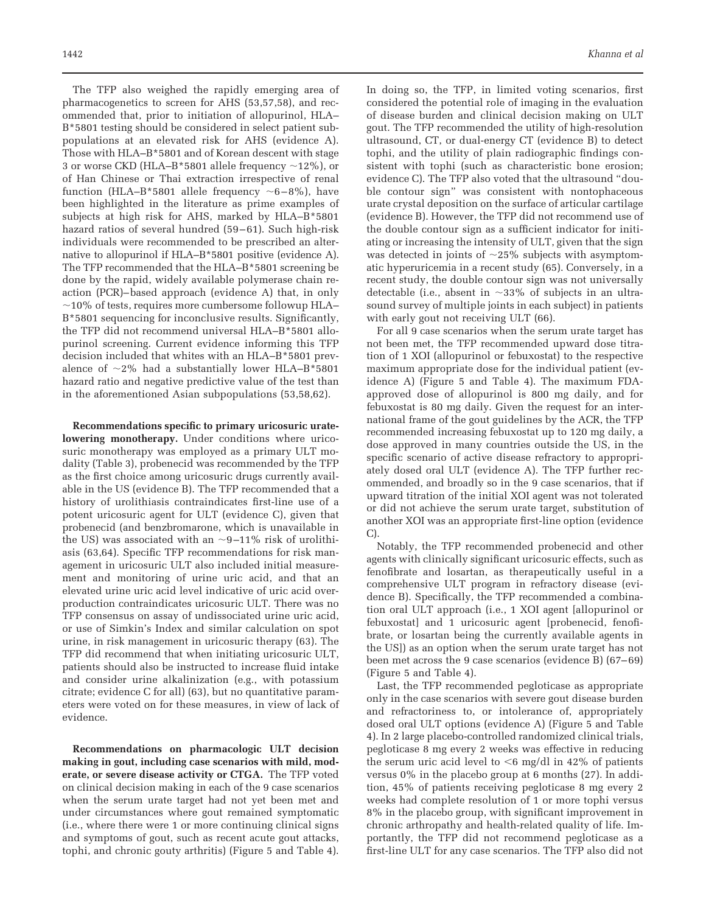The TFP also weighed the rapidly emerging area of pharmacogenetics to screen for AHS (53,57,58), and recommended that, prior to initiation of allopurinol, HLA– B\*5801 testing should be considered in select patient subpopulations at an elevated risk for AHS (evidence A). Those with HLA–B\*5801 and of Korean descent with stage 3 or worse CKD (HLA–B\*5801 allele frequency  ${\sim}$ 12%), or of Han Chinese or Thai extraction irrespective of renal function (HLA–B\*5801 allele frequency  $\sim$ 6–8%), have been highlighted in the literature as prime examples of subjects at high risk for AHS, marked by HLA–B\*5801 hazard ratios of several hundred (59 – 61). Such high-risk individuals were recommended to be prescribed an alternative to allopurinol if HLA–B\*5801 positive (evidence A). The TFP recommended that the HLA–B\*5801 screening be done by the rapid, widely available polymerase chain reaction (PCR)– based approach (evidence A) that, in only  $\sim$ 10% of tests, requires more cumbersome followup HLA– B\*5801 sequencing for inconclusive results. Significantly, the TFP did not recommend universal HLA–B\*5801 allopurinol screening. Current evidence informing this TFP decision included that whites with an HLA–B\*5801 prevalence of  ${\sim}2\%$  had a substantially lower HLA–B\*5801 hazard ratio and negative predictive value of the test than in the aforementioned Asian subpopulations (53,58,62).

**Recommendations specific to primary uricosuric uratelowering monotherapy.** Under conditions where uricosuric monotherapy was employed as a primary ULT modality (Table 3), probenecid was recommended by the TFP as the first choice among uricosuric drugs currently available in the US (evidence B). The TFP recommended that a history of urolithiasis contraindicates first-line use of a potent uricosuric agent for ULT (evidence C), given that probenecid (and benzbromarone, which is unavailable in the US) was associated with an  ${\sim}9{-}11\%$  risk of urolithiasis (63,64). Specific TFP recommendations for risk management in uricosuric ULT also included initial measurement and monitoring of urine uric acid, and that an elevated urine uric acid level indicative of uric acid overproduction contraindicates uricosuric ULT. There was no TFP consensus on assay of undissociated urine uric acid, or use of Simkin's Index and similar calculation on spot urine, in risk management in uricosuric therapy (63). The TFP did recommend that when initiating uricosuric ULT, patients should also be instructed to increase fluid intake and consider urine alkalinization (e.g., with potassium citrate; evidence C for all) (63), but no quantitative parameters were voted on for these measures, in view of lack of evidence.

**Recommendations on pharmacologic ULT decision making in gout, including case scenarios with mild, moderate, or severe disease activity or CTGA.** The TFP voted on clinical decision making in each of the 9 case scenarios when the serum urate target had not yet been met and under circumstances where gout remained symptomatic (i.e., where there were 1 or more continuing clinical signs and symptoms of gout, such as recent acute gout attacks, tophi, and chronic gouty arthritis) (Figure 5 and Table 4).

In doing so, the TFP, in limited voting scenarios, first considered the potential role of imaging in the evaluation of disease burden and clinical decision making on ULT gout. The TFP recommended the utility of high-resolution ultrasound, CT, or dual-energy CT (evidence B) to detect tophi, and the utility of plain radiographic findings consistent with tophi (such as characteristic bone erosion; evidence C). The TFP also voted that the ultrasound "double contour sign" was consistent with nontophaceous urate crystal deposition on the surface of articular cartilage (evidence B). However, the TFP did not recommend use of the double contour sign as a sufficient indicator for initiating or increasing the intensity of ULT, given that the sign was detected in joints of  ${\sim}25\%$  subjects with asymptomatic hyperuricemia in a recent study (65). Conversely, in a recent study, the double contour sign was not universally detectable (i.e., absent in  $\sim$ 33% of subjects in an ultrasound survey of multiple joints in each subject) in patients with early gout not receiving ULT (66).

For all 9 case scenarios when the serum urate target has not been met, the TFP recommended upward dose titration of 1 XOI (allopurinol or febuxostat) to the respective maximum appropriate dose for the individual patient (evidence A) (Figure 5 and Table 4). The maximum FDAapproved dose of allopurinol is 800 mg daily, and for febuxostat is 80 mg daily. Given the request for an international frame of the gout guidelines by the ACR, the TFP recommended increasing febuxostat up to 120 mg daily, a dose approved in many countries outside the US, in the specific scenario of active disease refractory to appropriately dosed oral ULT (evidence A). The TFP further recommended, and broadly so in the 9 case scenarios, that if upward titration of the initial XOI agent was not tolerated or did not achieve the serum urate target, substitution of another XOI was an appropriate first-line option (evidence C).

Notably, the TFP recommended probenecid and other agents with clinically significant uricosuric effects, such as fenofibrate and losartan, as therapeutically useful in a comprehensive ULT program in refractory disease (evidence B). Specifically, the TFP recommended a combination oral ULT approach (i.e., 1 XOI agent [allopurinol or febuxostat] and 1 uricosuric agent [probenecid, fenofibrate, or losartan being the currently available agents in the US]) as an option when the serum urate target has not been met across the 9 case scenarios (evidence B) (67–69) (Figure 5 and Table 4).

Last, the TFP recommended pegloticase as appropriate only in the case scenarios with severe gout disease burden and refractoriness to, or intolerance of, appropriately dosed oral ULT options (evidence A) (Figure 5 and Table 4). In 2 large placebo-controlled randomized clinical trials, pegloticase 8 mg every 2 weeks was effective in reducing the serum uric acid level to  $< 6$  mg/dl in 42% of patients versus 0% in the placebo group at 6 months (27). In addition, 45% of patients receiving pegloticase 8 mg every 2 weeks had complete resolution of 1 or more tophi versus 8% in the placebo group, with significant improvement in chronic arthropathy and health-related quality of life. Importantly, the TFP did not recommend pegloticase as a first-line ULT for any case scenarios. The TFP also did not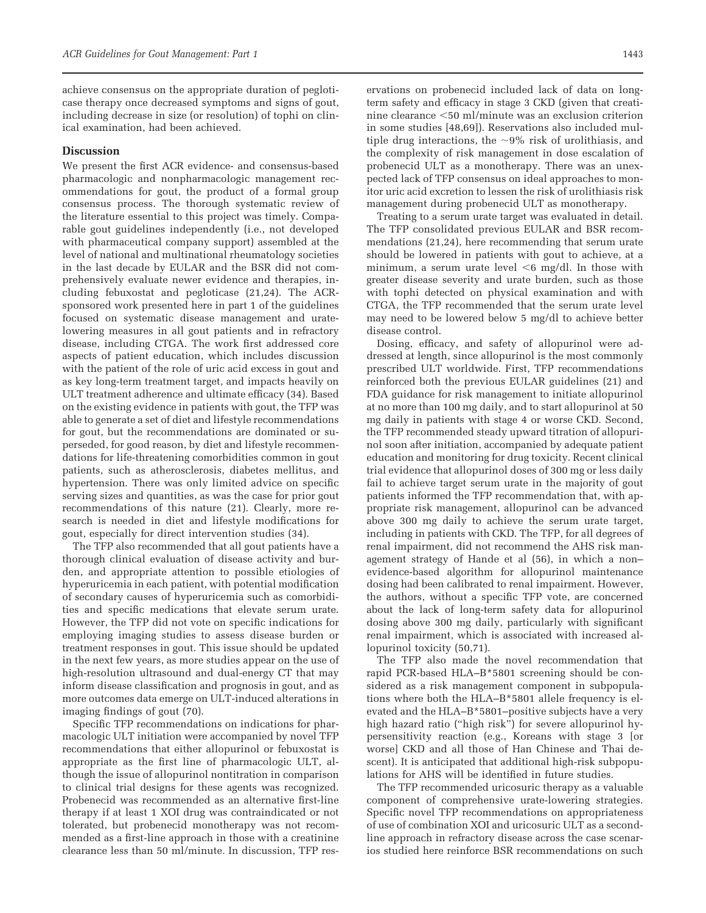achieve consensus on the appropriate duration of pegloticase therapy once decreased symptoms and signs of gout, including decrease in size (or resolution) of tophi on clinical examination, had been achieved.

#### **Discussion**

We present the first ACR evidence- and consensus-based pharmacologic and nonpharmacologic management recommendations for gout, the product of a formal group consensus process. The thorough systematic review of the literature essential to this project was timely. Comparable gout guidelines independently (i.e., not developed with pharmaceutical company support) assembled at the level of national and multinational rheumatology societies in the last decade by EULAR and the BSR did not comprehensively evaluate newer evidence and therapies, including febuxostat and pegloticase (21,24). The ACRsponsored work presented here in part 1 of the guidelines focused on systematic disease management and uratelowering measures in all gout patients and in refractory disease, including CTGA. The work first addressed core aspects of patient education, which includes discussion with the patient of the role of uric acid excess in gout and as key long-term treatment target, and impacts heavily on ULT treatment adherence and ultimate efficacy (34). Based on the existing evidence in patients with gout, the TFP was able to generate a set of diet and lifestyle recommendations for gout, but the recommendations are dominated or superseded, for good reason, by diet and lifestyle recommendations for life-threatening comorbidities common in gout patients, such as atherosclerosis, diabetes mellitus, and hypertension. There was only limited advice on specific serving sizes and quantities, as was the case for prior gout recommendations of this nature (21). Clearly, more research is needed in diet and lifestyle modifications for gout, especially for direct intervention studies (34).

The TFP also recommended that all gout patients have a thorough clinical evaluation of disease activity and burden, and appropriate attention to possible etiologies of hyperuricemia in each patient, with potential modification of secondary causes of hyperuricemia such as comorbidities and specific medications that elevate serum urate. However, the TFP did not vote on specific indications for employing imaging studies to assess disease burden or treatment responses in gout. This issue should be updated in the next few years, as more studies appear on the use of high-resolution ultrasound and dual-energy CT that may inform disease classification and prognosis in gout, and as more outcomes data emerge on ULT-induced alterations in imaging findings of gout (70).

Specific TFP recommendations on indications for pharmacologic ULT initiation were accompanied by novel TFP recommendations that either allopurinol or febuxostat is appropriate as the first line of pharmacologic ULT, although the issue of allopurinol nontitration in comparison to clinical trial designs for these agents was recognized. Probenecid was recommended as an alternative first-line therapy if at least 1 XOI drug was contraindicated or not tolerated, but probenecid monotherapy was not recommended as a first-line approach in those with a creatinine clearance less than 50 ml/minute*.* In discussion, TFP reservations on probenecid included lack of data on longterm safety and efficacy in stage 3 CKD (given that creatinine clearance 50 ml/minute was an exclusion criterion in some studies [48,69]). Reservations also included multiple drug interactions, the  ${\sim}9\%$  risk of urolithiasis, and the complexity of risk management in dose escalation of probenecid ULT as a monotherapy. There was an unexpected lack of TFP consensus on ideal approaches to monitor uric acid excretion to lessen the risk of urolithiasis risk management during probenecid ULT as monotherapy.

Treating to a serum urate target was evaluated in detail. The TFP consolidated previous EULAR and BSR recommendations (21,24), here recommending that serum urate should be lowered in patients with gout to achieve, at a minimum, a serum urate level  $\leq 6$  mg/dl. In those with greater disease severity and urate burden, such as those with tophi detected on physical examination and with CTGA, the TFP recommended that the serum urate level may need to be lowered below 5 mg/dl to achieve better disease control.

Dosing, efficacy, and safety of allopurinol were addressed at length, since allopurinol is the most commonly prescribed ULT worldwide. First, TFP recommendations reinforced both the previous EULAR guidelines (21) and FDA guidance for risk management to initiate allopurinol at no more than 100 mg daily, and to start allopurinol at 50 mg daily in patients with stage 4 or worse CKD. Second, the TFP recommended steady upward titration of allopurinol soon after initiation, accompanied by adequate patient education and monitoring for drug toxicity. Recent clinical trial evidence that allopurinol doses of 300 mg or less daily fail to achieve target serum urate in the majority of gout patients informed the TFP recommendation that, with appropriate risk management, allopurinol can be advanced above 300 mg daily to achieve the serum urate target, including in patients with CKD. The TFP, for all degrees of renal impairment, did not recommend the AHS risk management strategy of Hande et al (56), in which a non– evidence-based algorithm for allopurinol maintenance dosing had been calibrated to renal impairment. However, the authors, without a specific TFP vote, are concerned about the lack of long-term safety data for allopurinol dosing above 300 mg daily, particularly with significant renal impairment, which is associated with increased allopurinol toxicity (50,71).

The TFP also made the novel recommendation that rapid PCR-based HLA–B\*5801 screening should be considered as a risk management component in subpopulations where both the HLA–B\*5801 allele frequency is elevated and the HLA–B\*5801–positive subjects have a very high hazard ratio ("high risk") for severe allopurinol hypersensitivity reaction (e.g., Koreans with stage 3 [or worse] CKD and all those of Han Chinese and Thai descent). It is anticipated that additional high-risk subpopulations for AHS will be identified in future studies.

The TFP recommended uricosuric therapy as a valuable component of comprehensive urate-lowering strategies. Specific novel TFP recommendations on appropriateness of use of combination XOI and uricosuric ULT as a secondline approach in refractory disease across the case scenarios studied here reinforce BSR recommendations on such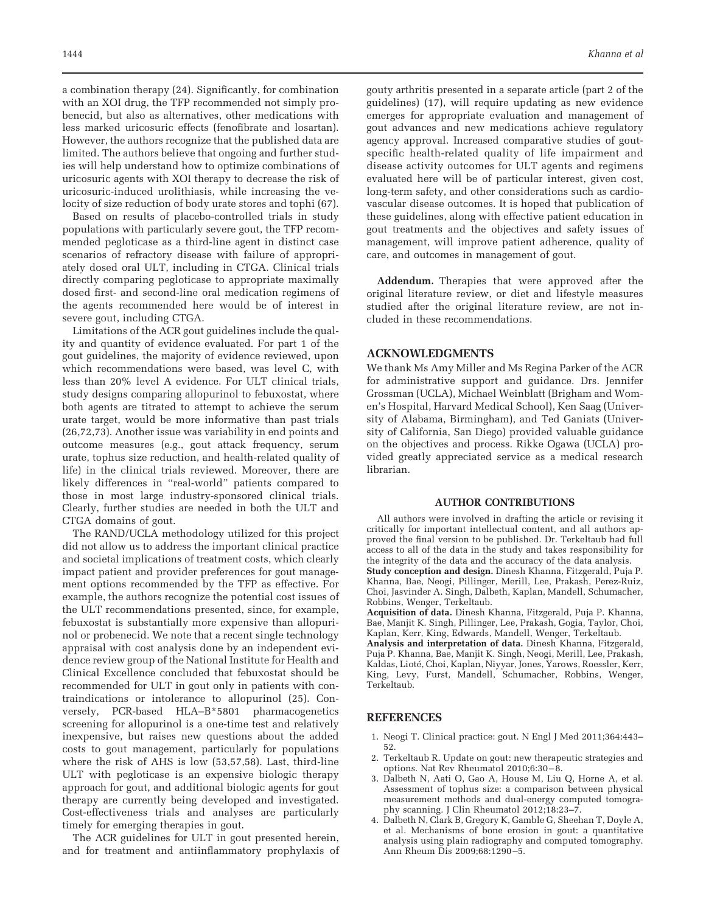a combination therapy (24). Significantly, for combination with an XOI drug, the TFP recommended not simply probenecid, but also as alternatives, other medications with less marked uricosuric effects (fenofibrate and losartan). However, the authors recognize that the published data are limited. The authors believe that ongoing and further studies will help understand how to optimize combinations of uricosuric agents with XOI therapy to decrease the risk of uricosuric-induced urolithiasis, while increasing the velocity of size reduction of body urate stores and tophi (67).

Based on results of placebo-controlled trials in study populations with particularly severe gout, the TFP recommended pegloticase as a third-line agent in distinct case scenarios of refractory disease with failure of appropriately dosed oral ULT, including in CTGA. Clinical trials directly comparing pegloticase to appropriate maximally dosed first- and second-line oral medication regimens of the agents recommended here would be of interest in severe gout, including CTGA.

Limitations of the ACR gout guidelines include the quality and quantity of evidence evaluated. For part 1 of the gout guidelines, the majority of evidence reviewed, upon which recommendations were based, was level C, with less than 20% level A evidence. For ULT clinical trials, study designs comparing allopurinol to febuxostat, where both agents are titrated to attempt to achieve the serum urate target, would be more informative than past trials (26,72,73). Another issue was variability in end points and outcome measures (e.g., gout attack frequency, serum urate, tophus size reduction, and health-related quality of life) in the clinical trials reviewed. Moreover, there are likely differences in "real-world" patients compared to those in most large industry-sponsored clinical trials. Clearly, further studies are needed in both the ULT and CTGA domains of gout.

The RAND/UCLA methodology utilized for this project did not allow us to address the important clinical practice and societal implications of treatment costs, which clearly impact patient and provider preferences for gout management options recommended by the TFP as effective. For example, the authors recognize the potential cost issues of the ULT recommendations presented, since, for example, febuxostat is substantially more expensive than allopurinol or probenecid. We note that a recent single technology appraisal with cost analysis done by an independent evidence review group of the National Institute for Health and Clinical Excellence concluded that febuxostat should be recommended for ULT in gout only in patients with contraindications or intolerance to allopurinol (25). Conversely, PCR-based HLA–B\*5801 pharmacogenetics screening for allopurinol is a one-time test and relatively inexpensive, but raises new questions about the added costs to gout management, particularly for populations where the risk of AHS is low (53,57,58). Last, third-line ULT with pegloticase is an expensive biologic therapy approach for gout, and additional biologic agents for gout therapy are currently being developed and investigated. Cost-effectiveness trials and analyses are particularly timely for emerging therapies in gout.

The ACR guidelines for ULT in gout presented herein, and for treatment and antiinflammatory prophylaxis of

gouty arthritis presented in a separate article (part 2 of the guidelines) (17), will require updating as new evidence emerges for appropriate evaluation and management of gout advances and new medications achieve regulatory agency approval. Increased comparative studies of goutspecific health-related quality of life impairment and disease activity outcomes for ULT agents and regimens evaluated here will be of particular interest, given cost, long-term safety, and other considerations such as cardiovascular disease outcomes. It is hoped that publication of these guidelines, along with effective patient education in gout treatments and the objectives and safety issues of management, will improve patient adherence, quality of care, and outcomes in management of gout.

**Addendum.** Therapies that were approved after the original literature review, or diet and lifestyle measures studied after the original literature review, are not included in these recommendations.

### **ACKNOWLEDGMENTS**

We thank Ms Amy Miller and Ms Regina Parker of the ACR for administrative support and guidance. Drs. Jennifer Grossman (UCLA), Michael Weinblatt (Brigham and Women's Hospital, Harvard Medical School), Ken Saag (University of Alabama, Birmingham), and Ted Ganiats (University of California, San Diego) provided valuable guidance on the objectives and process. Rikke Ogawa (UCLA) provided greatly appreciated service as a medical research librarian.

#### **AUTHOR CONTRIBUTIONS**

All authors were involved in drafting the article or revising it critically for important intellectual content, and all authors approved the final version to be published. Dr. Terkeltaub had full access to all of the data in the study and takes responsibility for the integrity of the data and the accuracy of the data analysis.

**Study conception and design.** Dinesh Khanna, Fitzgerald, Puja P. Khanna, Bae, Neogi, Pillinger, Merill, Lee, Prakash, Perez-Ruiz, Choi, Jasvinder A. Singh, Dalbeth, Kaplan, Mandell, Schumacher, Robbins, Wenger, Terkeltaub.

**Acquisition of data.** Dinesh Khanna, Fitzgerald, Puja P. Khanna, Bae, Manjit K. Singh, Pillinger, Lee, Prakash, Gogia, Taylor, Choi, Kaplan, Kerr, King, Edwards, Mandell, Wenger, Terkeltaub.

**Analysis and interpretation of data.** Dinesh Khanna, Fitzgerald, Puja P. Khanna, Bae, Manjit K. Singh, Neogi, Merill, Lee, Prakash, Kaldas, Lioté, Choi, Kaplan, Niyyar, Jones, Yarows, Roessler, Kerr, King, Levy, Furst, Mandell, Schumacher, Robbins, Wenger, Terkeltaub.

#### **REFERENCES**

- 1. Neogi T. Clinical practice: gout. N Engl J Med 2011;364:443– 52.
- 2. Terkeltaub R. Update on gout: new therapeutic strategies and options. Nat Rev Rheumatol 2010;6:30-8.
- Dalbeth N, Aati O, Gao A, House M, Liu Q, Horne A, et al. Assessment of tophus size: a comparison between physical measurement methods and dual-energy computed tomography scanning. J Clin Rheumatol 2012;18:23–7.
- 4. Dalbeth N, Clark B, Gregory K, Gamble G, Sheehan T, Doyle A, et al. Mechanisms of bone erosion in gout: a quantitative analysis using plain radiography and computed tomography. Ann Rheum Dis 2009;68:1290 –5.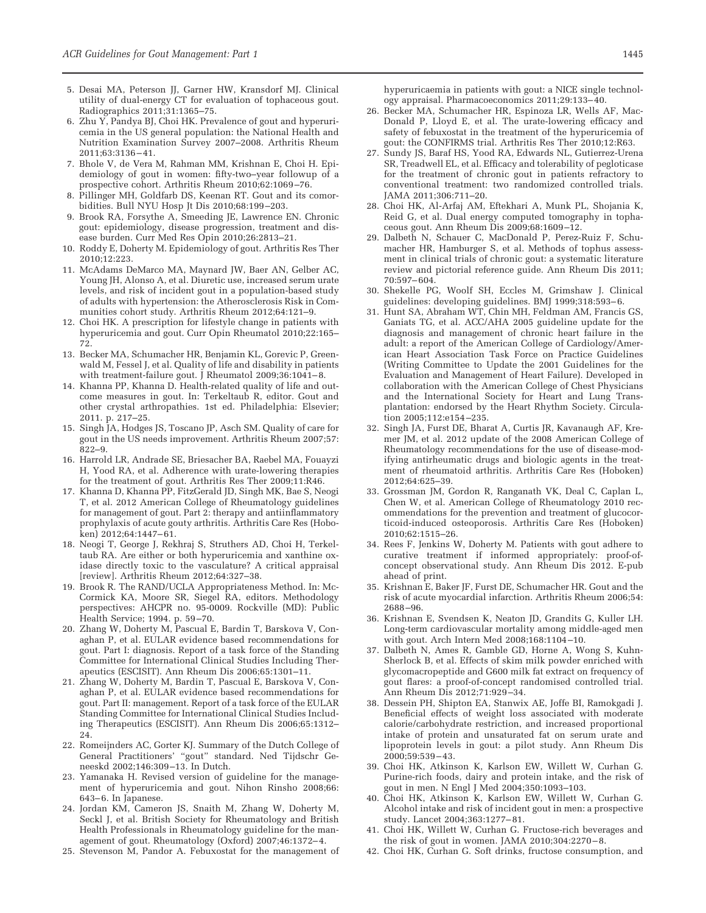- utility of dual-energy CT for evaluation of tophaceous gout. Radiographics 2011;31:1365–75. 6. Zhu Y, Pandya BJ, Choi HK. Prevalence of gout and hyperuricemia in the US general population: the National Health and
- Nutrition Examination Survey 2007–2008. Arthritis Rheum 2011;63:3136 – 41. 7. Bhole V, de Vera M, Rahman MM, Krishnan E, Choi H. Epi-
- demiology of gout in women: fifty-two–year followup of a prospective cohort. Arthritis Rheum 2010;62:1069 –76.
- 8. Pillinger MH, Goldfarb DS, Keenan RT. Gout and its comorbidities. Bull NYU Hosp Jt Dis 2010;68:199 –203.
- 9. Brook RA, Forsythe A, Smeeding JE, Lawrence EN. Chronic gout: epidemiology, disease progression, treatment and disease burden. Curr Med Res Opin 2010;26:2813–21.
- 10. Roddy E, Doherty M. Epidemiology of gout. Arthritis Res Ther 2010;12:223.
- 11. McAdams DeMarco MA, Maynard JW, Baer AN, Gelber AC, Young JH, Alonso A, et al. Diuretic use, increased serum urate levels, and risk of incident gout in a population-based study of adults with hypertension: the Atherosclerosis Risk in Communities cohort study. Arthritis Rheum 2012;64:121–9.
- 12. Choi HK. A prescription for lifestyle change in patients with hyperuricemia and gout. Curr Opin Rheumatol 2010;22:165– 72.
- 13. Becker MA, Schumacher HR, Benjamin KL, Gorevic P, Greenwald M, Fessel J, et al. Quality of life and disability in patients with treatment-failure gout. J Rheumatol 2009;36:1041-8.
- 14. Khanna PP, Khanna D. Health-related quality of life and outcome measures in gout. In: Terkeltaub R, editor. Gout and other crystal arthropathies. 1st ed. Philadelphia: Elsevier; 2011. p. 217–25.
- 15. Singh JA, Hodges JS, Toscano JP, Asch SM. Quality of care for gout in the US needs improvement. Arthritis Rheum 2007;57: 822–9.
- 16. Harrold LR, Andrade SE, Briesacher BA, Raebel MA, Fouayzi H, Yood RA, et al. Adherence with urate-lowering therapies for the treatment of gout. Arthritis Res Ther 2009;11:R46.
- 17. Khanna D, Khanna PP, FitzGerald JD, Singh MK, Bae S, Neogi T, et al. 2012 American College of Rheumatology guidelines for management of gout. Part 2: therapy and antiinflammatory prophylaxis of acute gouty arthritis. Arthritis Care Res (Hoboken) 2012;64:1447– 61.
- 18. Neogi T, George J, Rekhraj S, Struthers AD, Choi H, Terkeltaub RA. Are either or both hyperuricemia and xanthine oxidase directly toxic to the vasculature? A critical appraisal [review]. Arthritis Rheum 2012;64:327–38.
- 19. Brook R. The RAND/UCLA Appropriateness Method. In: Mc-Cormick KA, Moore SR, Siegel RA, editors. Methodology perspectives: AHCPR no. 95-0009. Rockville (MD): Public Health Service; 1994. p. 59 –70.
- 20. Zhang W, Doherty M, Pascual E, Bardin T, Barskova V, Conaghan P, et al. EULAR evidence based recommendations for gout. Part I: diagnosis. Report of a task force of the Standing Committee for International Clinical Studies Including Therapeutics (ESCISIT). Ann Rheum Dis 2006;65:1301–11.
- 21. Zhang W, Doherty M, Bardin T, Pascual E, Barskova V, Conaghan P, et al. EULAR evidence based recommendations for gout. Part II: management. Report of a task force of the EULAR Standing Committee for International Clinical Studies Including Therapeutics (ESCISIT). Ann Rheum Dis 2006;65:1312– 24.
- 22. Romeijnders AC, Gorter KJ. Summary of the Dutch College of General Practitioners' "gout" standard. Ned Tijdschr Geneeskd 2002;146:309 –13. In Dutch.
- 23. Yamanaka H. Revised version of guideline for the management of hyperuricemia and gout. Nihon Rinsho 2008;66: 643– 6. In Japanese.
- 24. Jordan KM, Cameron JS, Snaith M, Zhang W, Doherty M, Seckl J, et al. British Society for Rheumatology and British Health Professionals in Rheumatology guideline for the management of gout. Rheumatology (Oxford) 2007;46:1372– 4.
- 25. Stevenson M, Pandor A. Febuxostat for the management of

hyperuricaemia in patients with gout: a NICE single technology appraisal. Pharmacoeconomics 2011;29:133– 40.

- 26. Becker MA, Schumacher HR, Espinoza LR, Wells AF, Mac-Donald P, Lloyd E, et al. The urate-lowering efficacy and safety of febuxostat in the treatment of the hyperuricemia of gout: the CONFIRMS trial. Arthritis Res Ther 2010;12:R63.
- 27. Sundy JS, Baraf HS, Yood RA, Edwards NL, Gutierrez-Urena SR, Treadwell EL, et al. Efficacy and tolerability of pegloticase for the treatment of chronic gout in patients refractory to conventional treatment: two randomized controlled trials. JAMA 2011;306:711–20.
- 28. Choi HK, Al-Arfaj AM, Eftekhari A, Munk PL, Shojania K, Reid G, et al. Dual energy computed tomography in tophaceous gout. Ann Rheum Dis 2009;68:1609 –12.
- 29. Dalbeth N, Schauer C, MacDonald P, Perez-Ruiz F, Schumacher HR, Hamburger S, et al. Methods of tophus assessment in clinical trials of chronic gout: a systematic literature review and pictorial reference guide. Ann Rheum Dis 2011; 70:597– 604.
- 30. Shekelle PG, Woolf SH, Eccles M, Grimshaw J. Clinical guidelines: developing guidelines. BMJ 1999;318:593– 6.
- 31. Hunt SA, Abraham WT, Chin MH, Feldman AM, Francis GS, Ganiats TG, et al. ACC/AHA 2005 guideline update for the diagnosis and management of chronic heart failure in the adult: a report of the American College of Cardiology/American Heart Association Task Force on Practice Guidelines (Writing Committee to Update the 2001 Guidelines for the Evaluation and Management of Heart Failure). Developed in collaboration with the American College of Chest Physicians and the International Society for Heart and Lung Transplantation: endorsed by the Heart Rhythm Society. Circulation 2005;112:e154 –235.
- 32. Singh JA, Furst DE, Bharat A, Curtis JR, Kavanaugh AF, Kremer JM, et al. 2012 update of the 2008 American College of Rheumatology recommendations for the use of disease-modifying antirheumatic drugs and biologic agents in the treatment of rheumatoid arthritis. Arthritis Care Res (Hoboken) 2012;64:625–39.
- 33. Grossman JM, Gordon R, Ranganath VK, Deal C, Caplan L, Chen W, et al. American College of Rheumatology 2010 recommendations for the prevention and treatment of glucocorticoid-induced osteoporosis. Arthritis Care Res (Hoboken) 2010;62:1515–26.
- 34. Rees F, Jenkins W, Doherty M. Patients with gout adhere to curative treatment if informed appropriately: proof-ofconcept observational study. Ann Rheum Dis 2012. E-pub ahead of print.
- 35. Krishnan E, Baker JF, Furst DE, Schumacher HR. Gout and the risk of acute myocardial infarction. Arthritis Rheum 2006;54: 2688 –96.
- 36. Krishnan E, Svendsen K, Neaton JD, Grandits G, Kuller LH. Long-term cardiovascular mortality among middle-aged men with gout. Arch Intern Med 2008;168:1104 –10.
- 37. Dalbeth N, Ames R, Gamble GD, Horne A, Wong S, Kuhn-Sherlock B, et al. Effects of skim milk powder enriched with glycomacropeptide and G600 milk fat extract on frequency of gout flares: a proof-of-concept randomised controlled trial. Ann Rheum Dis 2012;71:929 –34.
- 38. Dessein PH, Shipton EA, Stanwix AE, Joffe BI, Ramokgadi J. Beneficial effects of weight loss associated with moderate calorie/carbohydrate restriction, and increased proportional intake of protein and unsaturated fat on serum urate and lipoprotein levels in gout: a pilot study. Ann Rheum Dis 2000;59:539 – 43.
- 39. Choi HK, Atkinson K, Karlson EW, Willett W, Curhan G. Purine-rich foods, dairy and protein intake, and the risk of gout in men. N Engl J Med 2004;350:1093–103.
- 40. Choi HK, Atkinson K, Karlson EW, Willett W, Curhan G. Alcohol intake and risk of incident gout in men: a prospective study. Lancet 2004;363:1277– 81.
- 41. Choi HK, Willett W, Curhan G. Fructose-rich beverages and the risk of gout in women. JAMA 2010;304:2270-8.
- 42. Choi HK, Curhan G. Soft drinks, fructose consumption, and